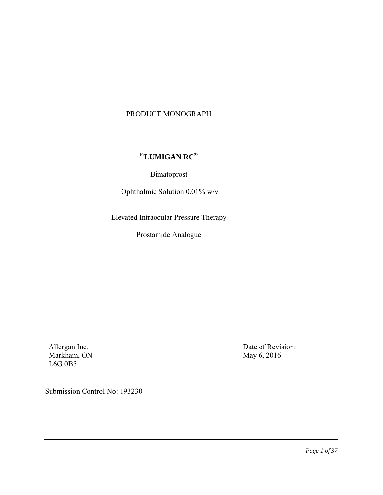# PRODUCT MONOGRAPH

# Pr**LUMIGAN RC®**

Bimatoprost

Ophthalmic Solution 0.01% w/v

Elevated Intraocular Pressure Therapy

Prostamide Analogue

Allergan Inc. Markham, ON L6G 0B5

Date of Revision: May 6, 2016

Submission Control No: 193230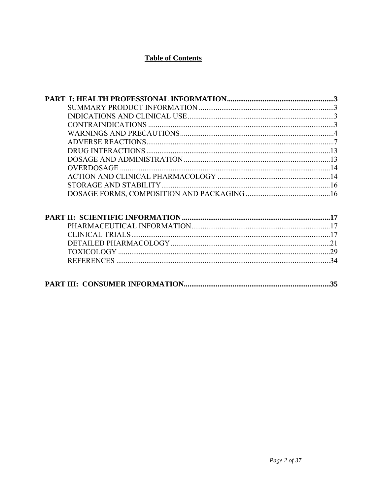# **Table of Contents**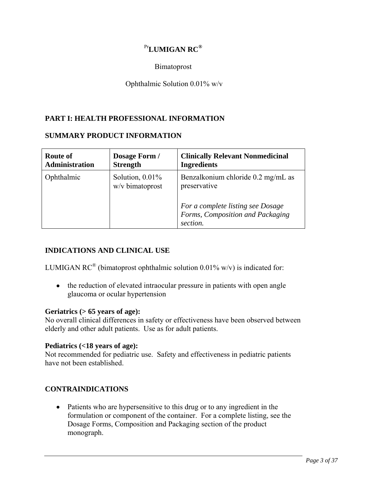# Pr**LUMIGAN RC®**

Bimatoprost

# Ophthalmic Solution 0.01% w/v

# **PART I: HEALTH PROFESSIONAL INFORMATION**

### **SUMMARY PRODUCT INFORMATION**

| Route of              | Dosage Form /                         | <b>Clinically Relevant Nonmedicinal</b>                                                                                                 |
|-----------------------|---------------------------------------|-----------------------------------------------------------------------------------------------------------------------------------------|
| <b>Administration</b> | <b>Strength</b>                       | <b>Ingredients</b>                                                                                                                      |
| Ophthalmic            | Solution, $0.01\%$<br>w/v bimatoprost | Benzalkonium chloride 0.2 mg/mL as<br>preservative<br>For a complete listing see Dosage<br>Forms, Composition and Packaging<br>section. |

# **INDICATIONS AND CLINICAL USE**

LUMIGAN RC<sup>®</sup> (bimatoprost ophthalmic solution 0.01% w/v) is indicated for:

• the reduction of elevated intraocular pressure in patients with open angle glaucoma or ocular hypertension

# **Geriatrics (> 65 years of age):**

No overall clinical differences in safety or effectiveness have been observed between elderly and other adult patients. Use as for adult patients.

#### **Pediatrics (<18 years of age):**

Not recommended for pediatric use. Safety and effectiveness in pediatric patients have not been established.

# **CONTRAINDICATIONS**

• Patients who are hypersensitive to this drug or to any ingredient in the formulation or component of the container. For a complete listing, see the Dosage Forms, Composition and Packaging section of the product monograph.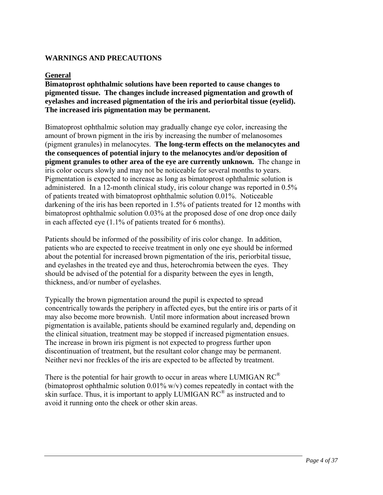# **WARNINGS AND PRECAUTIONS**

### **General**

**Bimatoprost ophthalmic solutions have been reported to cause changes to pigmented tissue. The changes include increased pigmentation and growth of eyelashes and increased pigmentation of the iris and periorbital tissue (eyelid). The increased iris pigmentation may be permanent.** 

Bimatoprost ophthalmic solution may gradually change eye color, increasing the amount of brown pigment in the iris by increasing the number of melanosomes (pigment granules) in melanocytes. **The long-term effects on the melanocytes and the consequences of potential injury to the melanocytes and/or deposition of pigment granules to other area of the eye are currently unknown.** The change in iris color occurs slowly and may not be noticeable for several months to years. Pigmentation is expected to increase as long as bimatoprost ophthalmic solution is administered. In a 12-month clinical study, iris colour change was reported in 0.5% of patients treated with bimatoprost ophthalmic solution 0.01%. Noticeable darkening of the iris has been reported in 1.5% of patients treated for 12 months with bimatoprost ophthalmic solution 0.03% at the proposed dose of one drop once daily in each affected eye (1.1% of patients treated for 6 months).

Patients should be informed of the possibility of iris color change. In addition, patients who are expected to receive treatment in only one eye should be informed about the potential for increased brown pigmentation of the iris, periorbital tissue, and eyelashes in the treated eye and thus, heterochromia between the eyes. They should be advised of the potential for a disparity between the eyes in length, thickness, and/or number of eyelashes.

Typically the brown pigmentation around the pupil is expected to spread concentrically towards the periphery in affected eyes, but the entire iris or parts of it may also become more brownish. Until more information about increased brown pigmentation is available, patients should be examined regularly and, depending on the clinical situation, treatment may be stopped if increased pigmentation ensues. The increase in brown iris pigment is not expected to progress further upon discontinuation of treatment, but the resultant color change may be permanent. Neither nevi nor freckles of the iris are expected to be affected by treatment.

There is the potential for hair growth to occur in areas where LUMIGAN  $RC^{\mathcal{D}}$ (bimatoprost ophthalmic solution 0.01% w/v) comes repeatedly in contact with the skin surface. Thus, it is important to apply LUMIGAN RC® as instructed and to avoid it running onto the cheek or other skin areas.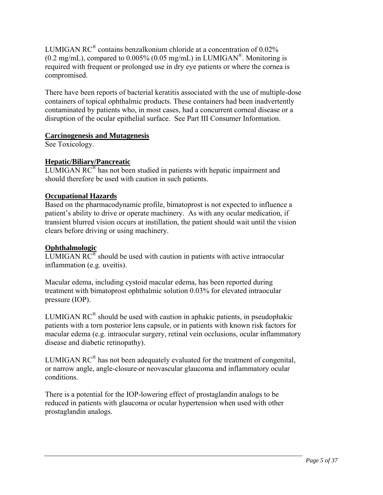LUMIGAN RC® contains benzalkonium chloride at a concentration of 0.02%  $(0.2 \text{ mg/mL})$ , compared to  $0.005\%$   $(0.05 \text{ mg/mL})$  in LUMIGAN<sup>®</sup>. Monitoring is required with frequent or prolonged use in dry eye patients or where the cornea is compromised.

There have been reports of bacterial keratitis associated with the use of multiple-dose containers of topical ophthalmic products. These containers had been inadvertently contaminated by patients who, in most cases, had a concurrent corneal disease or a disruption of the ocular epithelial surface. See Part III Consumer Information.

# **Carcinogenesis and Mutagenesis**

See Toxicology.

# **Hepatic/Biliary/Pancreatic**

LUMIGAN  $RC^{\circledR}$  has not been studied in patients with hepatic impairment and should therefore be used with caution in such patients.

# **Occupational Hazards**

Based on the pharmacodynamic profile, bimatoprost is not expected to influence a patient's ability to drive or operate machinery. As with any ocular medication, if transient blurred vision occurs at instillation, the patient should wait until the vision clears before driving or using machinery.

# **Ophthalmologic**

LUMIGAN  $RC^{\circledR}$  should be used with caution in patients with active intraocular inflammation (e.g. uveitis).

Macular edema, including cystoid macular edema, has been reported during treatment with bimatoprost ophthalmic solution 0.03% for elevated intraocular pressure (IOP).

LUMIGAN  $RC^{\circledR}$  should be used with caution in aphakic patients, in pseudophakic patients with a torn posterior lens capsule, or in patients with known risk factors for macular edema (e.g. intraocular surgery, retinal vein occlusions, ocular inflammatory disease and diabetic retinopathy).

LUMIGAN  $RC^{\circledR}$  has not been adequately evaluated for the treatment of congenital, or narrow angle, angle-closure or neovascular glaucoma and inflammatory ocular conditions.

There is a potential for the IOP-lowering effect of prostaglandin analogs to be reduced in patients with glaucoma or ocular hypertension when used with other prostaglandin analogs.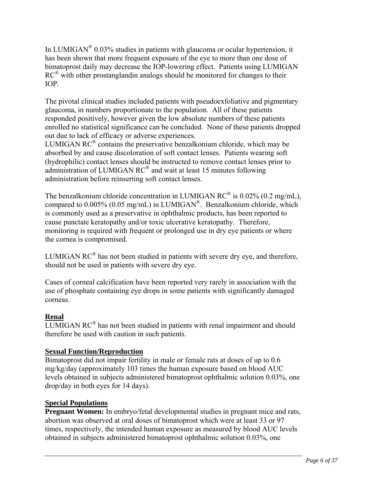In LUMIGAN<sup>®</sup> 0.03% studies in patients with glaucoma or ocular hypertension, it has been shown that more frequent exposure of the eye to more than one dose of bimatoprost daily may decrease the IOP-lowering effect. Patients using LUMIGAN  $RC^{\circledR}$  with other prostanglandin analogs should be monitored for changes to their IOP.

The pivotal clinical studies included patients with pseudoexfoliative and pigmentary glaucoma, in numbers proportionate to the population. All of these patients responded positively, however given the low absolute numbers of these patients enrolled no statistical significance can be concluded. None of these patients dropped out due to lack of efficacy or adverse experiences.

LUMIGAN  $RC^{\circledR}$  contains the preservative benzalkonium chloride, which may be absorbed by and cause discoloration of soft contact lenses. Patients wearing soft (hydrophilic) contact lenses should be instructed to remove contact lenses prior to administration of LUMIGAN RC® and wait at least 15 minutes following administration before reinserting soft contact lenses.

The benzalkonium chloride concentration in LUMIGAN RC<sup>®</sup> is  $0.02\%$  (0.2 mg/mL), compared to 0.005% (0.05 mg/mL) in LUMIGAN®. Benzalkonium chloride, which is commonly used as a preservative in ophthalmic products, has been reported to cause punctate keratopathy and/or toxic ulcerative keratopathy. Therefore, monitoring is required with frequent or prolonged use in dry eye patients or where the cornea is compromised.

LUMIGAN  $RC^{\circledR}$  has not been studied in patients with severe dry eye, and therefore, should not be used in patients with severe dry eye.

Cases of corneal calcification have been reported very rarely in association with the use of phosphate containing eye drops in some patients with significantly damaged corneas.

# **Renal**

LUMIGAN RC® has not been studied in patients with renal impairment and should therefore be used with caution in such patients.

# **Sexual Function/Reproduction**

Bimatoprost did not impair fertility in male or female rats at doses of up to 0.6 mg/kg/day (approximately 103 times the human exposure based on blood AUC levels obtained in subjects administered bimatoprost ophthalmic solution 0.03%, one drop/day in both eyes for 14 days).

# **Special Populations**

**Pregnant Women:** In embryo/fetal developmental studies in pregnant mice and rats, abortion was observed at oral doses of bimatoprost which were at least 33 or 97 times, respectively, the intended human exposure as measured by blood AUC levels obtained in subjects administered bimatoprost ophthalmic solution 0.03%, one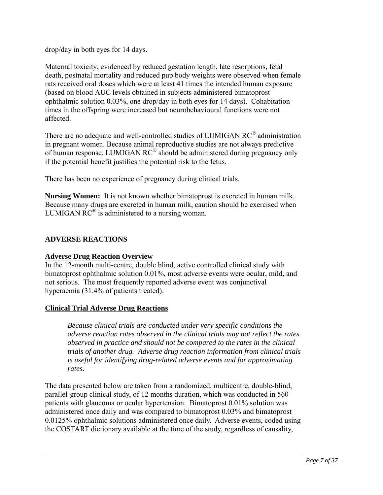drop/day in both eyes for 14 days.

Maternal toxicity, evidenced by reduced gestation length, late resorptions, fetal death, postnatal mortality and reduced pup body weights were observed when female rats received oral doses which were at least 41 times the intended human exposure (based on blood AUC levels obtained in subjects administered bimatoprost ophthalmic solution 0.03%, one drop/day in both eyes for 14 days). Cohabitation times in the offspring were increased but neurobehavioural functions were not affected.

There are no adequate and well-controlled studies of LUMIGAN RC® administration in pregnant women. Because animal reproductive studies are not always predictive of human response, LUMIGAN RC® should be administered during pregnancy only if the potential benefit justifies the potential risk to the fetus.

There has been no experience of pregnancy during clinical trials.

**Nursing Women:** It is not known whether bimatoprost is excreted in human milk. Because many drugs are excreted in human milk, caution should be exercised when LUMIGAN  $RC^{\circledR}$  is administered to a nursing woman.

# **ADVERSE REACTIONS**

# **Adverse Drug Reaction Overview**

In the 12-month multi-centre, double blind, active controlled clinical study with bimatoprost ophthalmic solution 0.01%, most adverse events were ocular, mild, and not serious. The most frequently reported adverse event was conjunctival hyperaemia (31.4% of patients treated).

# **Clinical Trial Adverse Drug Reactions**

*Because clinical trials are conducted under very specific conditions the adverse reaction rates observed in the clinical trials may not reflect the rates observed in practice and should not be compared to the rates in the clinical trials of another drug. Adverse drug reaction information from clinical trials is useful for identifying drug-related adverse events and for approximating rates*.

The data presented below are taken from a randomized, multicentre, double-blind, parallel-group clinical study, of 12 months duration, which was conducted in 560 patients with glaucoma or ocular hypertension. Bimatoprost 0.01% solution was administered once daily and was compared to bimatoprost 0.03% and bimatoprost 0.0125% ophthalmic solutions administered once daily. Adverse events, coded using the COSTART dictionary available at the time of the study, regardless of causality,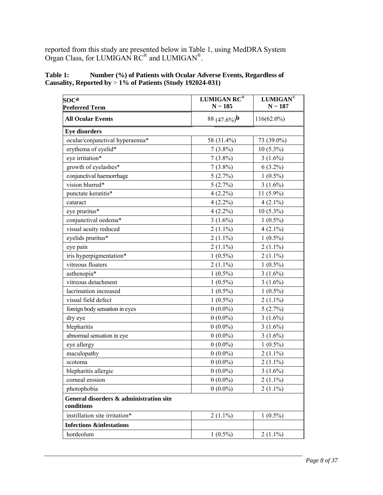reported from this study are presented below in Table 1, using MedDRA System Organ Class, for LUMIGAN  $RC^{\circledast}$  and LUMIGAN $^{\circledast}$ .

| Table 1: | Number (%) of Patients with Ocular Adverse Events, Regardless of |
|----------|------------------------------------------------------------------|
|          | Causality, Reported by $> 1\%$ of Patients (Study 192024-031)    |

| <b>SOCa</b><br><b>Preferred Term</b>                  | <b>LUMIGAN RC®</b><br>$N = 185$ | LUMIGAN®<br>$\mathbf{N}=187$ |  |
|-------------------------------------------------------|---------------------------------|------------------------------|--|
| <b>All Ocular Events</b>                              | 88 $(47.6\%)$ <b>b</b>          | $116(62.0\%)$                |  |
| <b>Eye disorders</b>                                  |                                 |                              |  |
| ocular/conjunctival hyperaemia*                       | 58 (31.4%)                      | 73 (39.0%)                   |  |
| erythema of eyelid*                                   | $7(3.8\%)$                      | $10(5.3\%)$                  |  |
| eye irritation*                                       | $7(3.8\%)$                      | $3(1.6\%)$                   |  |
| growth of eyelashes*                                  | $7(3.8\%)$                      | $6(3.2\%)$                   |  |
| conjunctival haemorrhage                              | 5(2.7%)                         | $1(0.5\%)$                   |  |
| vision blurred*                                       | 5(2.7%)                         | $3(1.6\%)$                   |  |
| punctate keratitis*                                   | $4(2.2\%)$                      | $11(5.9\%)$                  |  |
| cataract                                              | $4(2.2\%)$                      | $4(2.1\%)$                   |  |
| eye pruritus*                                         | $4(2.2\%)$                      | $10(5.3\%)$                  |  |
| conjunctival oedema*                                  | $3(1.6\%)$                      | $1(0.5\%)$                   |  |
| visual acuity reduced                                 | $2(1.1\%)$                      | $4(2.1\%)$                   |  |
| eyelids pruritus*                                     | $2(1.1\%)$                      | $1(0.5\%)$                   |  |
| eye pain                                              | $2(1.1\%)$                      | $2(1.1\%)$                   |  |
| iris hyperpigmentation*                               | $1(0.5\%)$                      | $2(1.1\%)$                   |  |
| vitreous floaters                                     | $2(1.1\%)$                      | $1(0.5\%)$                   |  |
| asthenopia*                                           | $1(0.5\%)$                      | $3(1.6\%)$                   |  |
| vitreous detachment                                   | $1(0.5\%)$                      | $3(1.6\%)$                   |  |
| lacrimation increased                                 | $1(0.5\%)$                      | $1(0.5\%)$                   |  |
| visual field defect                                   | $1(0.5\%)$                      | $2(1.1\%)$                   |  |
| foreign body sensation in eyes                        | $0(0.0\%)$                      | 5(2.7%)                      |  |
| dry eye                                               | $0(0.0\%)$                      | $3(1.6\%)$                   |  |
| blepharitis                                           | $0(0.0\%)$                      | $3(1.6\%)$                   |  |
| abnormal sensation in eye                             | $0(0.0\%)$                      | $3(1.6\%)$                   |  |
| eye allergy                                           | $0(0.0\%)$                      | $1(0.5\%)$                   |  |
| maculopathy                                           | $0(0.0\%)$                      | $2(1.1\%)$                   |  |
| scotoma                                               | $0(0.0\%)$                      | $2(1.1\%)$                   |  |
| blepharitis allergic                                  | $0(0.0\%)$                      | $3(1.6\%)$                   |  |
| corneal erosion                                       | $0(0.0\%)$                      | $2(1.1\%)$                   |  |
| photophobia                                           | $0(0.0\%)$                      | $2(1.1\%)$                   |  |
| General disorders & administration site<br>conditions |                                 |                              |  |
| instillation site irritation*                         | $2(1.1\%)$                      | $1(0.5\%)$                   |  |
| <b>Infections &amp;infestations</b>                   |                                 |                              |  |
| hordeolum                                             | $1(0.5\%)$                      | $2(1.1\%)$                   |  |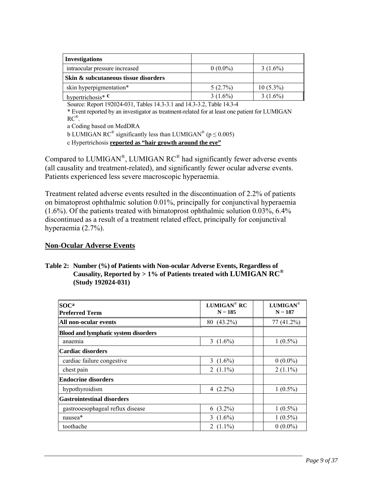| <b>Investigations</b>                |            |             |
|--------------------------------------|------------|-------------|
| intraocular pressure increased       | $0(0.0\%)$ | $3(1.6\%)$  |
| Skin & subcutaneous tissue disorders |            |             |
| skin hyperpigmentation*              | $5(2.7\%)$ | $10(5.3\%)$ |
| hypertrichosis <sup>*</sup> $c$      | $3(1.6\%)$ | $3(1.6\%)$  |

Source: Report 192024-031, Tables 14.3-3.1 and 14.3-3.2, Table 14.3-4

\* Event reported by an investigator as treatment-related for at least one patient for LUMIGAN RC®.

a Coding based on MedDRA

b LUMIGAN RC<sup>®</sup> significantly less than LUMIGAN<sup>®</sup> ( $p \le 0.005$ )

c Hypertrichosis **reported as "hair growth around the eye"**

Compared to LUMIGAN<sup>®</sup>, LUMIGAN  $RC^®$  had significantly fewer adverse events (all causality and treatment-related), and significantly fewer ocular adverse events. Patients experienced less severe macroscopic hyperaemia.

Treatment related adverse events resulted in the discontinuation of 2.2% of patients on bimatoprost ophthalmic solution 0.01%, principally for conjunctival hyperaemia (1.6%). Of the patients treated with bimatoprost ophthalmic solution 0.03%, 6.4% discontinued as a result of a treatment related effect, principally for conjunctival hyperaemia (2.7%).

# **Non-Ocular Adverse Events**

#### **Table 2: Number (%) of Patients with Non-ocular Adverse Events, Regardless of Causality, Reported by > 1% of Patients treated with LUMIGAN RC® (Study 192024-031)**

| <b>SOCa</b><br><b>Preferred Term</b>        | LUMIGAN <sup>®</sup> RC<br>$N = 185$ | LUMIGAN®<br>$N = 187$ |
|---------------------------------------------|--------------------------------------|-----------------------|
| All non-ocular events                       | 80 (43.2%)                           | 77 (41.2%)            |
| <b>Blood and lymphatic system disorders</b> |                                      |                       |
| anaemia                                     | 3 $(1.6\%)$                          | $1(0.5\%)$            |
| Cardiac disorders                           |                                      |                       |
| cardiac failure congestive                  | 3 $(1.6\%)$                          | $0(0.0\%)$            |
| chest pain                                  | 2 $(1.1\%)$                          | $2(1.1\%)$            |
| <b>Endocrine disorders</b>                  |                                      |                       |
| hypothyroidism                              | 4 $(2.2\%)$                          | $1(0.5\%)$            |
| <b>Gastrointestinal disorders</b>           |                                      |                       |
| gastrooesophageal reflux disease            | $6(3.2\%)$                           | $1(0.5\%)$            |
| nausea*                                     | 3 $(1.6\%)$                          | $1(0.5\%)$            |
| toothache                                   | 2 $(1.1\%)$                          | $0(0.0\%)$            |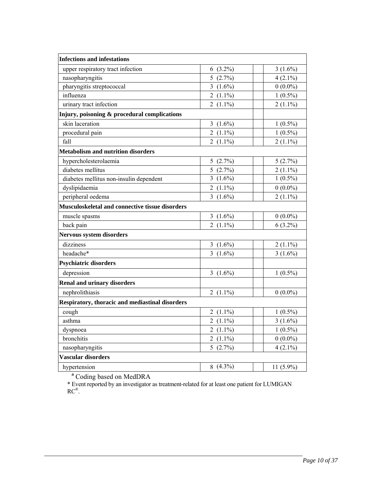| <b>Infections and infestations</b>                     |                          |              |
|--------------------------------------------------------|--------------------------|--------------|
| upper respiratory tract infection                      | $6(3.2\%)$               | $3(1.6\%)$   |
| nasopharyngitis                                        | 5(2.7%)                  | $4(2.1\%)$   |
| pharyngitis streptococcal                              | 3 $(1.6\%)$              | $0(0.0\%)$   |
| influenza                                              | 2 $(1.1\%)$              | $1(0.5\%)$   |
| urinary tract infection                                | 2 $(1.1\%)$              | $2(1.1\%)$   |
| Injury, poisoning & procedural complications           |                          |              |
| skin laceration                                        | 3 $(1.6\%)$              | $1(0.5\%)$   |
| procedural pain                                        | 2 $(1.1\%)$              | $1(0.5\%)$   |
| fall                                                   | 2 $(1.1\%)$              | $2(1.1\%)$   |
| <b>Metabolism and nutrition disorders</b>              |                          |              |
| hypercholesterolaemia                                  | 5(2.7%)                  | 5(2.7%)      |
| diabetes mellitus                                      | 5(2.7%)                  | $2(1.1\%)$   |
| diabetes mellitus non-insulin dependent                | 3 $(1.6\%)$              | $1(0.5\%)$   |
| dyslipidaemia                                          | 2 $(1.1\%)$              | $0(0.0\%)$   |
| peripheral oedema                                      | 3 $(1.6\%)$              | $2(1.1\%)$   |
| <b>Musculoskeletal and connective tissue disorders</b> |                          |              |
| muscle spasms                                          | 3 $(1.6\%)$              | $0(0.0\%)$   |
| back pain                                              | 2 $(1.1\%)$              | $6(3.2\%)$   |
| <b>Nervous system disorders</b>                        |                          |              |
| dizziness                                              | 3 $(1.6\%)$              | $2(1.1\%)$   |
| headache*                                              | 3 $(1.6\%)$              | $3(1.6\%)$   |
| <b>Psychiatric disorders</b>                           |                          |              |
| depression                                             | 3 $(1.6\%)$              | $1(0.5\%)$   |
| <b>Renal and urinary disorders</b>                     |                          |              |
| nephrolithiasis                                        | 2 $(1.1\%)$              | $0(0.0\%)$   |
| <b>Respiratory, thoracic and mediastinal disorders</b> |                          |              |
| cough                                                  | 2 $(1.1\%)$              | $1(0.5\%)$   |
| asthma                                                 | 2 $(1.1\%)$              | $3(1.6\%)$   |
| dyspnoea                                               | 2 $(1.1\%)$              | $1(0.5\%)$   |
| bronchitis                                             | 2 $(1.1\%)$              | $0(0.0\%)$   |
| nasopharyngitis                                        | 5(2.7%)                  | $4(2.1\%)$   |
| Vascular disorders                                     |                          |              |
| hypertension                                           | 8 $(4.3\sqrt[6]{\circ})$ | 11 $(5.9\%)$ |
|                                                        |                          |              |

**a** Coding based on MedDRA

\* Event reported by an investigator as treatment-related for at least one patient for LUMIGAN RC®.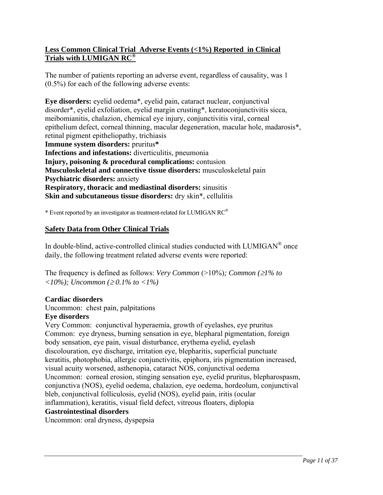# **Less Common Clinical Trial Adverse Events (<1%) Reported in Clinical Trials with LUMIGAN RC®**

The number of patients reporting an adverse event, regardless of causality, was 1 (0.5%) for each of the following adverse events:

**Eye disorders:** eyelid oedema\*, eyelid pain, cataract nuclear, conjunctival disorder\*, eyelid exfoliation, eyelid margin crusting\*, keratoconjunctivitis sicca, meibomianitis, chalazion, chemical eye injury, conjunctivitis viral, corneal epithelium defect, corneal thinning, macular degeneration, macular hole, madarosis\*, retinal pigment epitheliopathy, trichiasis **Immune system disorders:** pruritus**\* Infections and infestations:** diverticulitis, pneumonia **Injury, poisoning & procedural complications:** contusion **Musculoskeletal and connective tissue disorders:** musculoskeletal pain **Psychiatric disorders:** anxiety **Respiratory, thoracic and mediastinal disorders:** sinusitis **Skin and subcutaneous tissue disorders:** dry skin\*, cellulitis

\* Event reported by an investigator as treatment-related for LUMIGAN RC®

# **Safety Data from Other Clinical Trials**

In double-blind, active-controlled clinical studies conducted with LUMIGAN<sup>®</sup> once daily, the following treatment related adverse events were reported:

The frequency is defined as follows: *Very Common*  $(>10\%)$ *; Common* ( $\geq$ 1% to  $\langle 10\% \rangle$ ; Uncommon ( $\geq 0.1\%$  to  $\langle 1\% \rangle$ )

# **Cardiac disorders**

Uncommon: chest pain, palpitations

# **Eye disorders**

Very Common: conjunctival hyperaemia, growth of eyelashes, eye pruritus Common: eye dryness, burning sensation in eye, blepharal pigmentation, foreign body sensation, eye pain, visual disturbance, erythema eyelid, eyelash discolouration, eye discharge, irritation eye, blepharitis, superficial punctuate keratitis, photophobia, allergic conjunctivitis, epiphora, iris pigmentation increased, visual acuity worsened, asthenopia, cataract NOS, conjunctival oedema Uncommon: corneal erosion, stinging sensation eye, eyelid pruritus, blepharospasm, conjunctiva (NOS), eyelid oedema, chalazion, eye oedema, hordeolum, conjunctival bleb, conjunctival folliculosis, eyelid (NOS), eyelid pain, iritis (ocular inflammation), keratitis, visual field defect, vitreous floaters, diplopia

#### **Gastrointestinal disorders**

Uncommon: oral dryness, dyspepsia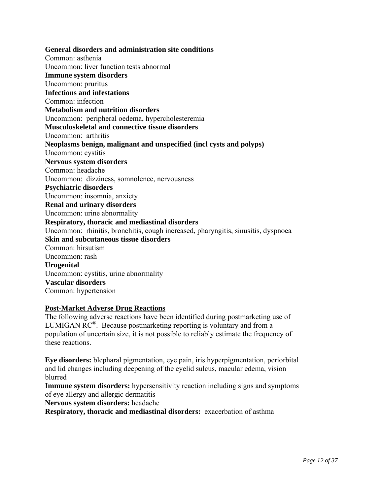**General disorders and administration site conditions**  Common: asthenia Uncommon: liver function tests abnormal **Immune system disorders**  Uncommon: pruritus **Infections and infestations**  Common: infection **Metabolism and nutrition disorders**  Uncommon: peripheral oedema, hypercholesteremia **Musculoskeleta**l **and connective tissue disorders** Uncommon: arthritis **Neoplasms benign, malignant and unspecified (incl cysts and polyps)**  Uncommon: cystitis **Nervous system disorders**  Common: headache Uncommon: dizziness, somnolence, nervousness **Psychiatric disorders**  Uncommon: insomnia, anxiety **Renal and urinary disorders**  Uncommon: urine abnormality **Respiratory, thoracic and mediastinal disorders**  Uncommon: rhinitis, bronchitis, cough increased, pharyngitis, sinusitis, dyspnoea **Skin and subcutaneous tissue disorders**  Common: hirsutism Uncommon: rash **Urogenital** Uncommon: cystitis, urine abnormality **Vascular disorders**  Common: hypertension

#### **Post-Market Adverse Drug Reactions**

The following adverse reactions have been identified during postmarketing use of LUMIGAN  $RC^{\circledR}$ . Because postmarketing reporting is voluntary and from a population of uncertain size, it is not possible to reliably estimate the frequency of these reactions.

**Eye disorders:** blepharal pigmentation, eye pain, iris hyperpigmentation, periorbital and lid changes including deepening of the eyelid sulcus, macular edema, vision blurred

**Immune system disorders:** hypersensitivity reaction including signs and symptoms of eye allergy and allergic dermatitis

**Nervous system disorders:** headache

**Respiratory, thoracic and mediastinal disorders:** exacerbation of asthma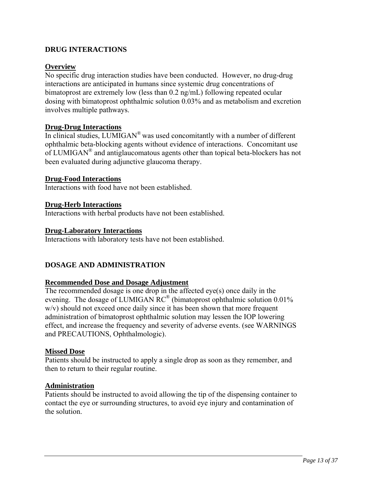# **DRUG INTERACTIONS**

### **Overview**

No specific drug interaction studies have been conducted. However, no drug-drug interactions are anticipated in humans since systemic drug concentrations of bimatoprost are extremely low (less than 0.2 ng/mL) following repeated ocular dosing with bimatoprost ophthalmic solution 0.03% and as metabolism and excretion involves multiple pathways.

### **Drug-Drug Interactions**

In clinical studies, LUMIGAN® was used concomitantly with a number of different ophthalmic beta-blocking agents without evidence of interactions. Concomitant use of LUMIGAN® and antiglaucomatous agents other than topical beta-blockers has not been evaluated during adjunctive glaucoma therapy.

#### **Drug-Food Interactions**

Interactions with food have not been established.

#### **Drug-Herb Interactions**

Interactions with herbal products have not been established.

#### **Drug-Laboratory Interactions**

Interactions with laboratory tests have not been established.

#### **DOSAGE AND ADMINISTRATION**

#### **Recommended Dose and Dosage Adjustment**

The recommended dosage is one drop in the affected eye(s) once daily in the evening. The dosage of LUMIGAN RC® (bimatoprost ophthalmic solution 0.01% w/v) should not exceed once daily since it has been shown that more frequent administration of bimatoprost ophthalmic solution may lessen the IOP lowering effect, and increase the frequency and severity of adverse events. (see WARNINGS and PRECAUTIONS, Ophthalmologic).

#### **Missed Dose**

Patients should be instructed to apply a single drop as soon as they remember, and then to return to their regular routine.

#### **Administration**

Patients should be instructed to avoid allowing the tip of the dispensing container to contact the eye or surrounding structures, to avoid eye injury and contamination of the solution.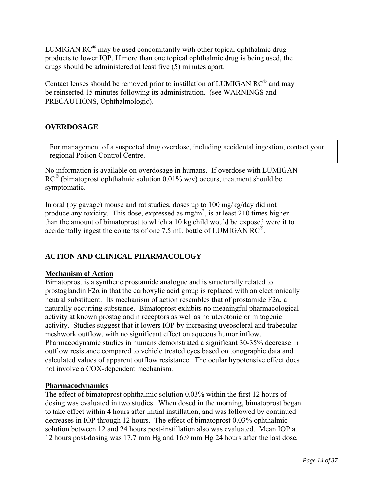LUMIGAN  $RC^{\circledR}$  may be used concomitantly with other topical ophthalmic drug products to lower IOP. If more than one topical ophthalmic drug is being used, the drugs should be administered at least five (5) minutes apart.

Contact lenses should be removed prior to instillation of LUMIGAN RC® and may be reinserted 15 minutes following its administration. (see WARNINGS and PRECAUTIONS, Ophthalmologic).

# **OVERDOSAGE**

For management of a suspected drug overdose, including accidental ingestion, contact your regional Poison Control Centre.

No information is available on overdosage in humans. If overdose with LUMIGAN  $RC^{\circledR}$  (bimatoprost ophthalmic solution 0.01% w/v) occurs, treatment should be symptomatic.

In oral (by gavage) mouse and rat studies, doses up to 100 mg/kg/day did not produce any toxicity. This dose, expressed as  $mg/m^2$ , is at least 210 times higher than the amount of bimatoprost to which a 10 kg child would be exposed were it to accidentally ingest the contents of one 7.5 mL bottle of LUMIGAN RC®.

# **ACTION AND CLINICAL PHARMACOLOGY**

# **Mechanism of Action**

Bimatoprost is a synthetic prostamide analogue and is structurally related to prostaglandin F2 $\alpha$  in that the carboxylic acid group is replaced with an electronically neutral substituent. Its mechanism of action resembles that of prostamide F2α, a naturally occurring substance. Bimatoprost exhibits no meaningful pharmacological activity at known prostaglandin receptors as well as no uterotonic or mitogenic activity. Studies suggest that it lowers IOP by increasing uveoscleral and trabecular meshwork outflow, with no significant effect on aqueous humor inflow. Pharmacodynamic studies in humans demonstrated a significant 30-35% decrease in outflow resistance compared to vehicle treated eyes based on tonographic data and calculated values of apparent outflow resistance. The ocular hypotensive effect does not involve a COX-dependent mechanism.

# **Pharmacodynamics**

The effect of bimatoprost ophthalmic solution 0.03% within the first 12 hours of dosing was evaluated in two studies. When dosed in the morning, bimatoprost began to take effect within 4 hours after initial instillation, and was followed by continued decreases in IOP through 12 hours. The effect of bimatoprost 0.03% ophthalmic solution between 12 and 24 hours post-instillation also was evaluated. Mean IOP at 12 hours post-dosing was 17.7 mm Hg and 16.9 mm Hg 24 hours after the last dose.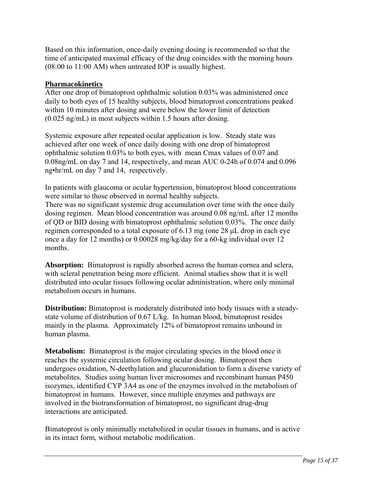Based on this information, once-daily evening dosing is recommended so that the time of anticipated maximal efficacy of the drug coincides with the morning hours (08:00 to 11:00 AM) when untreated IOP is usually highest.

# **Pharmacokinetics**

After one drop of bimatoprost ophthalmic solution 0.03% was administered once daily to both eyes of 15 healthy subjects, blood bimatoprost concentrations peaked within 10 minutes after dosing and were below the lower limit of detection (0.025 ng/mL) in most subjects within 1.5 hours after dosing.

Systemic exposure after repeated ocular application is low. Steady state was achieved after one week of once daily dosing with one drop of bimatoprost ophthalmic solution 0.03% to both eyes, with mean Cmax values of 0.07 and 0.08ng/mL on day 7 and 14, respectively, and mean AUC 0-24h of 0.074 and 0.096 ng•hr/mL on day 7 and 14, respectively.

In patients with glaucoma or ocular hypertension, bimatoprost blood concentrations were similar to those observed in normal healthy subjects.

There was no significant systemic drug accumulation over time with the once daily dosing regimen. Mean blood concentration was around 0.08 ng/mL after 12 months of QD or BID dosing with bimatoprost ophthalmic solution 0.03%. The once daily regimen corresponded to a total exposure of 6.13 mg (one 28 μL drop in each eye once a day for 12 months) or 0.00028 mg/kg/day for a 60-kg individual over 12 months.

**Absorption:** Bimatoprost is rapidly absorbed across the human cornea and sclera, with scleral penetration being more efficient. Animal studies show that it is well distributed into ocular tissues following ocular administration, where only minimal metabolism occurs in humans.

**Distribution:** Bimatoprost is moderately distributed into body tissues with a steadystate volume of distribution of 0.67 L/kg. In human blood, bimatoprost resides mainly in the plasma. Approximately 12% of bimatoprost remains unbound in human plasma.

**Metabolism:** Bimatoprost is the major circulating species in the blood once it reaches the systemic circulation following ocular dosing. Bimatoprost then undergoes oxidation, N-deethylation and glucuronidation to form a diverse variety of metabolites. Studies using human liver microsomes and recombinant human P450 isozymes, identified CYP 3A4 as one of the enzymes involved in the metabolism of bimatoprost in humans. However, since multiple enzymes and pathways are involved in the biotransformation of bimatoprost, no significant drug-drug interactions are anticipated.

Bimatoprost is only minimally metabolized in ocular tissues in humans, and is active in its intact form, without metabolic modification.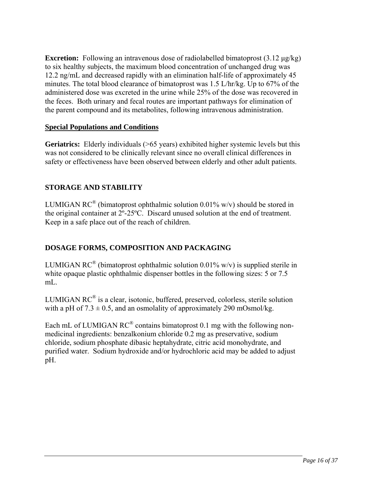**Excretion:** Following an intravenous dose of radiolabelled bimatoprost (3.12 μg/kg) to six healthy subjects, the maximum blood concentration of unchanged drug was 12.2 ng/mL and decreased rapidly with an elimination half-life of approximately 45 minutes. The total blood clearance of bimatoprost was 1.5 L/hr/kg. Up to 67% of the administered dose was excreted in the urine while 25% of the dose was recovered in the feces. Both urinary and fecal routes are important pathways for elimination of the parent compound and its metabolites, following intravenous administration.

# **Special Populations and Conditions**

Geriatrics: Elderly individuals (>65 years) exhibited higher systemic levels but this was not considered to be clinically relevant since no overall clinical differences in safety or effectiveness have been observed between elderly and other adult patients.

# **STORAGE AND STABILITY**

LUMIGAN RC<sup>®</sup> (bimatoprost ophthalmic solution 0.01% w/v) should be stored in the original container at 2º-25ºC. Discard unused solution at the end of treatment. Keep in a safe place out of the reach of children.

# **DOSAGE FORMS, COMPOSITION AND PACKAGING**

LUMIGAN RC<sup>®</sup> (bimatoprost ophthalmic solution 0.01% w/v) is supplied sterile in white opaque plastic ophthalmic dispenser bottles in the following sizes: 5 or 7.5 mL.

LUMIGAN  $RC^{\circledast}$  is a clear, isotonic, buffered, preserved, colorless, sterile solution with a pH of  $7.3 \pm 0.5$ , and an osmolality of approximately 290 mOsmol/kg.

Each mL of LUMIGAN  $RC^{\circledR}$  contains bimatoprost 0.1 mg with the following nonmedicinal ingredients: benzalkonium chloride 0.2 mg as preservative, sodium chloride, sodium phosphate dibasic heptahydrate, citric acid monohydrate, and purified water. Sodium hydroxide and/or hydrochloric acid may be added to adjust pH.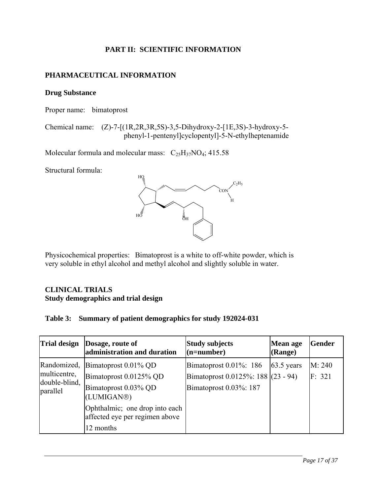# **PART II: SCIENTIFIC INFORMATION**

# **PHARMACEUTICAL INFORMATION**

### **Drug Substance**

Proper name: bimatoprost

Chemical name: (Z)-7-[(1R,2R,3R,5S)-3,5-Dihydroxy-2-[1E,3S)-3-hydroxy-5 phenyl-1-pentenyl]cyclopentyl]-5-N-ethylheptenamide

Molecular formula and molecular mass:  $C_{25}H_{37}NO_4$ ; 415.58

Structural formula:



Physicochemical properties: Bimatoprost is a white to off-white powder, which is very soluble in ethyl alcohol and methyl alcohol and slightly soluble in water.

# **CLINICAL TRIALS Study demographics and trial design**

| Table 3: Summary of patient demographics for study 192024-031 |  |  |  |  |
|---------------------------------------------------------------|--|--|--|--|
|---------------------------------------------------------------|--|--|--|--|

| <b>Trial design</b>                                      | Dosage, route of<br>administration and duration                                                                                                                          | <b>Study subjects</b><br>$(n=number)$                                                      | <b>Mean age</b><br>(Range) | <b>Gender</b>    |
|----------------------------------------------------------|--------------------------------------------------------------------------------------------------------------------------------------------------------------------------|--------------------------------------------------------------------------------------------|----------------------------|------------------|
| Randomized,<br>multicentre,<br>double-blind,<br>parallel | Bimatoprost $0.01\%$ QD<br>Bimatoprost 0.0125% QD<br>Bimatoprost 0.03% QD<br>(LUMIGAN®)<br>Ophthalmic; one drop into each<br>affected eye per regimen above<br>12 months | Bimatoprost $0.01\%$ : 186<br>Bimatoprost 0.0125%: 188 (23 - 94)<br>Bimatoprost 0.03%: 187 | 63.5 years                 | M: 240<br>F: 321 |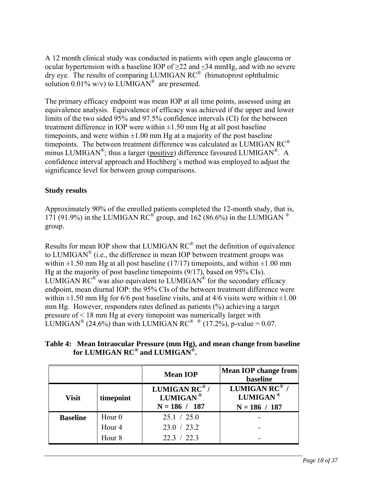A 12 month clinical study was conducted in patients with open angle glaucoma or ocular hypertension with a baseline IOP of  $\geq$ 22 and  $\leq$ 34 mmHg, and with no severe dry eye. The results of comparing LUMIGAN RC® (bimatoprost ophthalmic solution  $0.01\%$  w/v) to LUMIGAN<sup>®</sup> are presented.

The primary efficacy endpoint was mean IOP at all time points, assessed using an equivalence analysis. Equivalence of efficacy was achieved if the upper and lower limits of the two sided 95% and 97.5% confidence intervals (CI) for the between treatment difference in IOP were within  $\pm 1.50$  mm Hg at all post baseline timepoints, and were within  $\pm 1.00$  mm Hg at a majority of the post baseline timepoints. The between treatment difference was calculated as LUMIGAN RC® minus LUMIGAN<sup>®</sup>; thus a larger (positive) difference favoured LUMIGAN<sup>®</sup>. A confidence interval approach and Hochberg's method was employed to adjust the significance level for between group comparisons.

# **Study results**

Approximately 90% of the enrolled patients completed the 12-month study, that is, 171 (91.9%) in the LUMIGAN RC<sup>®</sup> group, and 162 (86.6%) in the LUMIGAN <sup>®</sup> group.

Results for mean IOP show that LUMIGAN RC® met the definition of equivalence to LUMIGAN<sup>®</sup> (i.e., the difference in mean IOP between treatment groups was within  $\pm 1.50$  mm Hg at all post baseline (17/17) timepoints, and within  $\pm 1.00$  mm Hg at the majority of post baseline timepoints (9/17), based on 95% CIs). LUMIGAN  $\mathsf{RC}^{\mathcal{D}}$  was also equivalent to LUMIGAN<sup> $\mathcal{D}$ </sup> for the secondary efficacy endpoint, mean diurnal IOP: the 95% CIs of the between treatment difference were within  $\pm 1.50$  mm Hg for 6/6 post baseline visits, and at 4/6 visits were within  $\pm 1.00$ mm Hg. However, responders rates defined as patients (%) achieving a target pressure of < 18 mm Hg at every timepoint was numerically larger with LUMIGAN<sup>®</sup> (24.6%) than with LUMIGAN RC<sup>®</sup> <sup>®</sup> (17.2%), p-value = 0.07.

**Table 4: Mean Intraocular Pressure (mm Hg), and mean change from baseline for LUMIGAN RC® and LUMIGAN®.** 

|                 |                   | <b>Mean IOP</b>                                                       | <b>Mean IOP</b> change from<br>baseline                  |
|-----------------|-------------------|-----------------------------------------------------------------------|----------------------------------------------------------|
| <b>Visit</b>    | timepoint         | LUMIGAN $RC^{\circledR}$ /<br>LUMIGAN <sup>®</sup><br>$N = 186 / 187$ | LUMIGAN RC® /<br>LUMIGAN <sup>®</sup><br>$N = 186 / 187$ |
| <b>Baseline</b> | Hour <sub>0</sub> | 25.1 / 25.0                                                           |                                                          |
|                 | Hour <sub>4</sub> | 23.0 / 23.2                                                           |                                                          |
|                 | Hour <sub>8</sub> | 22.3 / 22.3                                                           |                                                          |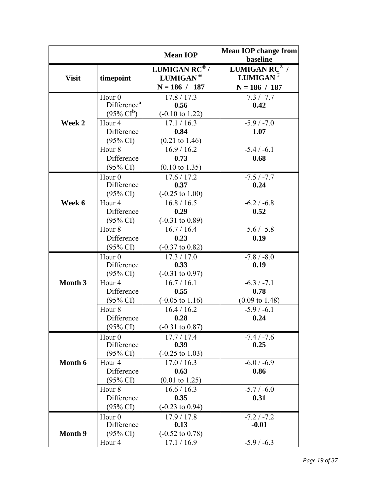|                |                                                          | <b>Mean IOP</b>                                                       | <b>Mean IOP change from</b><br>baseline            |
|----------------|----------------------------------------------------------|-----------------------------------------------------------------------|----------------------------------------------------|
| <b>Visit</b>   | timepoint                                                | LUMIGAN $RC^{\circledR}$ /<br>LUMIGAN <sup>®</sup><br>$N = 186 / 187$ | LUMIGAN RC® /<br>$LUMIGAN^@$<br>$N = 186 / 187$    |
|                | Hour <sub>0</sub><br>Difference <sup>a</sup>             | 17.8 / 17.3<br>0.56                                                   | $-7.3 / -7.7$<br>0.42                              |
| Week 2         | $(95\% \text{ Cl}^b)$<br>Hour <sub>4</sub><br>Difference | $(-0.10 \text{ to } 1.22)$<br>17.1 / 16.3<br>0.84                     | $-5.9/ -7.0$<br>1.07                               |
|                | $(95\% \text{ CI})$<br>Hour <sub>8</sub><br>Difference   | $(0.21 \text{ to } 1.46)$<br>16.9 / 16.2<br>0.73                      | $-5.4 / -6.1$<br>0.68                              |
|                | $(95\% \text{ CI})$                                      | $(0.10 \text{ to } 1.35)$                                             |                                                    |
|                | Hour $0$<br>Difference<br>$(95\% \text{ CI})$            | 17.6 / 17.2<br>0.37<br>$(-0.25 \text{ to } 1.00)$                     | $-7.5 / -7.7$<br>0.24                              |
| Week 6         | Hour <sub>4</sub><br>Difference<br>$(95\% \text{ CI})$   | 16.8 / 16.5<br>0.29<br>$(-0.31 \text{ to } 0.89)$                     | $-6.2 / -6.8$<br>0.52                              |
|                | Hour <sub>8</sub><br>Difference                          | 16.7 / 16.4<br>0.23                                                   | $-5.6 / -5.8$<br>0.19                              |
|                | $(95\% \text{ CI})$<br>Hour <sub>0</sub>                 | $(-0.37 \text{ to } 0.82)$<br>17.3 / 17.0                             | $-7.8 / -8.0$                                      |
|                | Difference<br>$(95\% \text{ CI})$                        | 0.33<br>$(-0.31 \text{ to } 0.97)$                                    | 0.19                                               |
| Month 3        | Hour <sub>4</sub><br>Difference<br>$(95\% \text{ CI})$   | 16.7 / 16.1<br>0.55<br>$(-0.05 \text{ to } 1.16)$                     | $-6.3 / -7.1$<br>0.78<br>$(0.09 \text{ to } 1.48)$ |
|                | Hour <sub>8</sub><br>Difference<br>$(95\% \text{ CI})$   | 16.4 / 16.2<br>0.28<br>$(-0.31 \text{ to } 0.87)$                     | $-5.9/ -6.1$<br>0.24                               |
|                | Hour <sub>0</sub><br>Difference<br>$(95\% \text{ CI})$   | 17.7/17.4<br>0.39<br>$(-0.25 \text{ to } 1.03)$                       | $-7.4 / -7.6$<br>0.25                              |
| Month 6        | Hour <sub>4</sub><br>Difference<br>$(95\% \text{ CI})$   | 17.0 / 16.3<br>0.63<br>$(0.01 \text{ to } 1.25)$                      | $-6.0 / -6.9$<br>0.86                              |
|                | Hour <sub>8</sub><br>Difference<br>$(95\% \text{ CI})$   | 16.6 / 16.3<br>0.35<br>$(-0.23 \text{ to } 0.94)$                     | $-5.7 / -6.0$<br>0.31                              |
| <b>Month 9</b> | Hour <sub>0</sub><br>Difference<br>$(95\% \text{ CI})$   | 17.9/17.8<br>0.13<br>$(-0.52 \text{ to } 0.78)$                       | $-7.2 / -7.2$<br>$-0.01$                           |
|                | Hour <sub>4</sub>                                        | 17.1 / 16.9                                                           | $-5.9 / -6.3$                                      |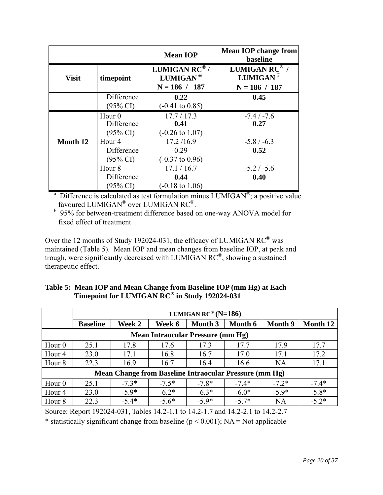|                                                        |                                                                       | baseline                                                                                                |
|--------------------------------------------------------|-----------------------------------------------------------------------|---------------------------------------------------------------------------------------------------------|
| timepoint                                              | LUMIGAN $RC^{\circledR}$ /<br>LUMIGAN <sup>®</sup><br>$N = 186 / 187$ | <b>LUMIGAN RC</b> <sup>®</sup> /<br>LUMIGAN <sup>®</sup><br>$N = 186 / 187$                             |
| Difference<br>$(95\% \text{ CI})$                      | 0.22<br>$(-0.41 \text{ to } 0.85)$                                    | 0.45                                                                                                    |
| Hour $0$<br>Difference<br>$(95\% \text{ CI})$          | 17.7/17.3<br>0.41<br>$(-0.26 \text{ to } 1.07)$                       | $-7.4 / -7.6$<br>0.27                                                                                   |
| Hour <sub>4</sub><br>Difference<br>$(95\% \text{ CI})$ | 17.2/16.9<br>0.29<br>$(-0.37 \text{ to } 0.96)$                       | $-5.8 / -6.3$<br>0.52                                                                                   |
| Hour <sub>8</sub><br>Difference<br>$(95\% \text{ CI})$ | 17.1 / 16.7<br>0.44<br>$(-0.18 \text{ to } 1.06)$                     | $-5.2 / -5.6$<br>0.40                                                                                   |
|                                                        |                                                                       | <sup>a</sup> Difference is calculated as test formulation minus LUMIGAN <sup>®</sup> ; a positive value |

favoured LUMIGAN® over LUMIGAN  $\mathsf{RC}^\circledast.$ 

<sup>b</sup> 95% for between-treatment difference based on one-way ANOVA model for fixed effect of treatment

Over the 12 months of Study 192024-031, the efficacy of LUMIGAN RC® was maintained (Table 5). Mean IOP and mean changes from baseline IOP, at peak and trough, were significantly decreased with LUMIGAN RC®, showing a sustained therapeutic effect.

| Table 5: Mean IOP and Mean Change from Baseline IOP (mm Hg) at Each |
|---------------------------------------------------------------------|
| Timepoint for LUMIGAN RC® in Study 192024-031                       |

|                                                        | LUMIGAN RC <sup>®</sup> (N=186) |         |         |                                          |         |                |          |
|--------------------------------------------------------|---------------------------------|---------|---------|------------------------------------------|---------|----------------|----------|
|                                                        | <b>Baseline</b>                 | Week 2  | Week 6  | Month 3                                  | Month 6 | <b>Month</b> 9 | Month 12 |
|                                                        |                                 |         |         | <b>Mean Intraocular Pressure (mm Hg)</b> |         |                |          |
| Hour $0$                                               | 25.1                            | 17.8    | 17.6    | 17.3                                     | 17.7    | 17.9           | 17.7     |
| Hour <sub>4</sub>                                      | 23.0                            | 17.1    | 16.8    | 16.7                                     | 17.0    | 17.1           | 17.2     |
| Hour <sub>8</sub>                                      | 22.3                            | 16.9    | 16.7    | 16.4                                     | 16.6    | <b>NA</b>      | 17.1     |
| Mean Change from Baseline Intraocular Pressure (mm Hg) |                                 |         |         |                                          |         |                |          |
| Hour $0$                                               | 25.1                            | $-7.3*$ | $-7.5*$ | $-7.8*$                                  | $-7.4*$ | $-7.2*$        | $-7.4*$  |
| Hour <sub>4</sub>                                      | 23.0                            | $-5.9*$ | $-6.2*$ | $-6.3*$                                  | $-6.0*$ | $-5.9*$        | $-5.8*$  |
| Hour <sub>8</sub>                                      | 22.3                            | $-5.4*$ | $-5.6*$ | $-5.9*$                                  | $-5.7*$ | NA             | $-5.2*$  |

Source: Report 192024-031, Tables 14.2-1.1 to 14.2-1.7 and 14.2-2.1 to 14.2-2.7

\* statistically significant change from baseline ( $p < 0.001$ ); NA = Not applicable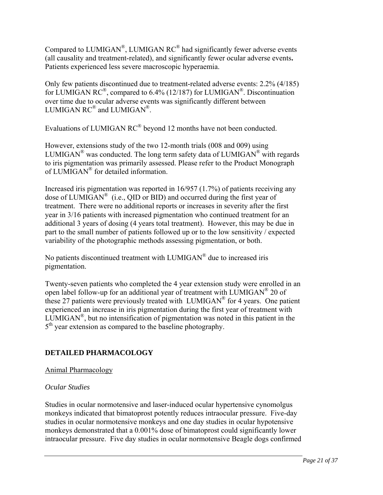Compared to LUMIGAN®, LUMIGAN RC® had significantly fewer adverse events (all causality and treatment-related), and significantly fewer ocular adverse events**.** Patients experienced less severe macroscopic hyperaemia.

Only few patients discontinued due to treatment-related adverse events: 2.2% (4/185) for LUMIGAN RC®, compared to 6.4% (12/187) for LUMIGAN®. Discontinuation over time due to ocular adverse events was significantly different between LUMIGAN RC® and LUMIGAN®.

Evaluations of LUMIGAN RC® beyond 12 months have not been conducted.

However, extensions study of the two 12-month trials (008 and 009) using LUMIGAN<sup>®</sup> was conducted. The long term safety data of LUMIGAN<sup>®</sup> with regards to iris pigmentation was primarily assessed. Please refer to the Product Monograph of LUMIGAN® for detailed information.

Increased iris pigmentation was reported in 16/957 (1.7%) of patients receiving any dose of LUMIGAN<sup>®</sup> (i.e., OID or BID) and occurred during the first year of treatment. There were no additional reports or increases in severity after the first year in 3/16 patients with increased pigmentation who continued treatment for an additional 3 years of dosing (4 years total treatment). However, this may be due in part to the small number of patients followed up or to the low sensitivity / expected variability of the photographic methods assessing pigmentation, or both.

No patients discontinued treatment with LUMIGAN® due to increased iris pigmentation.

Twenty-seven patients who completed the 4 year extension study were enrolled in an open label follow-up for an additional year of treatment with LUMIGAN<sup>®</sup> 20 of these 27 patients were previously treated with LUMIGAN® for 4 years. One patient experienced an increase in iris pigmentation during the first year of treatment with LUMIGAN<sup>®</sup>, but no intensification of pigmentation was noted in this patient in the  $5<sup>th</sup>$  year extension as compared to the baseline photography.

# **DETAILED PHARMACOLOGY**

Animal Pharmacology

# *Ocular Studies*

Studies in ocular normotensive and laser-induced ocular hypertensive cynomolgus monkeys indicated that bimatoprost potently reduces intraocular pressure. Five-day studies in ocular normotensive monkeys and one day studies in ocular hypotensive monkeys demonstrated that a 0.001% dose of bimatoprost could significantly lower intraocular pressure. Five day studies in ocular normotensive Beagle dogs confirmed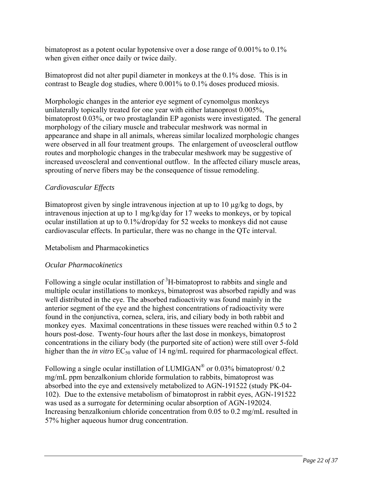bimatoprost as a potent ocular hypotensive over a dose range of 0.001% to 0.1% when given either once daily or twice daily.

Bimatoprost did not alter pupil diameter in monkeys at the 0.1% dose. This is in contrast to Beagle dog studies, where 0.001% to 0.1% doses produced miosis.

Morphologic changes in the anterior eye segment of cynomolgus monkeys unilaterally topically treated for one year with either latanoprost 0.005%, bimatoprost 0.03%, or two prostaglandin EP agonists were investigated. The general morphology of the ciliary muscle and trabecular meshwork was normal in appearance and shape in all animals, whereas similar localized morphologic changes were observed in all four treatment groups. The enlargement of uveoscleral outflow routes and morphologic changes in the trabecular meshwork may be suggestive of increased uveoscleral and conventional outflow. In the affected ciliary muscle areas, sprouting of nerve fibers may be the consequence of tissue remodeling.

# *Cardiovascular Effects*

Bimatoprost given by single intravenous injection at up to 10  $\mu$ g/kg to dogs, by intravenous injection at up to 1 mg/kg/day for 17 weeks to monkeys, or by topical ocular instillation at up to 0.1%/drop/day for 52 weeks to monkeys did not cause cardiovascular effects. In particular, there was no change in the QTc interval.

# Metabolism and Pharmacokinetics

# *Ocular Pharmacokinetics*

Following a single ocular instillation of  ${}^{3}H$ -bimatoprost to rabbits and single and multiple ocular instillations to monkeys, bimatoprost was absorbed rapidly and was well distributed in the eye. The absorbed radioactivity was found mainly in the anterior segment of the eye and the highest concentrations of radioactivity were found in the conjunctiva, cornea, sclera, iris, and ciliary body in both rabbit and monkey eyes. Maximal concentrations in these tissues were reached within 0.5 to 2 hours post-dose. Twenty-four hours after the last dose in monkeys, bimatoprost concentrations in the ciliary body (the purported site of action) were still over 5-fold higher than the *in vitro* EC<sub>50</sub> value of 14 ng/mL required for pharmacological effect.

Following a single ocular instillation of LUMIGAN<sup>®</sup> or 0.03% bimatoprost/ 0.2 mg/mL ppm benzalkonium chloride formulation to rabbits, bimatoprost was absorbed into the eye and extensively metabolized to AGN-191522 (study PK-04- 102). Due to the extensive metabolism of bimatoprost in rabbit eyes, AGN-191522 was used as a surrogate for determining ocular absorption of AGN-192024. Increasing benzalkonium chloride concentration from 0.05 to 0.2 mg/mL resulted in 57% higher aqueous humor drug concentration.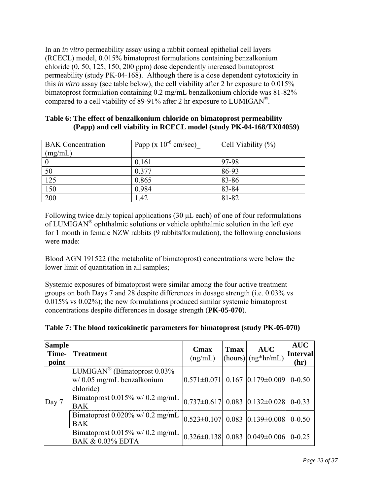In an *in vitro* permeability assay using a rabbit corneal epithelial cell layers (RCECL) model, 0.015% bimatoprost formulations containing benzalkonium chloride (0, 50, 125, 150, 200 ppm) dose dependently increased bimatoprost permeability (study PK-04-168). Although there is a dose dependent cytotoxicity in this *in vitro* assay (see table below), the cell viability after 2 hr exposure to 0.015% bimatoprost formulation containing 0.2 mg/mL benzalkonium chloride was 81-82% compared to a cell viability of 89-91% after 2 hr exposure to LUMIGAN<sup>®</sup>.

| <b>BAK</b> Concentration<br>(mg/mL) | Papp ( $x 10^{-6}$ cm/sec) | Cell Viability $(\%)$ |
|-------------------------------------|----------------------------|-----------------------|
|                                     | 0.161                      | 97-98                 |
| 50                                  | 0.377                      | 86-93                 |
| 125                                 | 0.865                      | 83-86                 |
| 150                                 | 0.984                      | 83-84                 |
| 200                                 | 1.42                       | 81-82                 |

### **Table 6: The effect of benzalkonium chloride on bimatoprost permeability (Papp) and cell viability in RCECL model (study PK-04-168/TX04059)**

Following twice daily topical applications (30 μL each) of one of four reformulations of LUMIGAN® ophthalmic solutions or vehicle ophthalmic solution in the left eye for 1 month in female NZW rabbits (9 rabbits/formulation), the following conclusions were made:

Blood AGN 191522 (the metabolite of bimatoprost) concentrations were below the lower limit of quantitation in all samples;

Systemic exposures of bimatoprost were similar among the four active treatment groups on both Days 7 and 28 despite differences in dosage strength (i.e. 0.03% vs 0.015% vs 0.02%); the new formulations produced similar systemic bimatoprost concentrations despite differences in dosage strength (**PK-05-070**).

| Table 7: The blood toxicokinetic parameters for bimatoprost (study PK-05-070) |  |  |
|-------------------------------------------------------------------------------|--|--|
|                                                                               |  |  |

| <b>Sample</b><br>Time-<br>point | <b>Treatment</b>                                                                        | Cmax<br>(ng/mL)                           | Tmax | <b>AUC</b><br>$\vert$ (hours) $\vert$ (ng*hr/mL) | <b>AUC</b><br><b>Interval</b><br>(hr) |
|---------------------------------|-----------------------------------------------------------------------------------------|-------------------------------------------|------|--------------------------------------------------|---------------------------------------|
| Day 7                           | LUMIGAN <sup>®</sup> (Bimatoprost $0.03\%$<br>$w/$ 0.05 mg/mL benzalkonium<br>chloride) | $ 0.571\pm0.071 $ 0.167 $ 0.179\pm0.009 $ |      |                                                  | $0 - 0.50$                            |
|                                 | Bimatoprost $0.015\%$ w/ $0.2$ mg/mL<br><b>BAK</b>                                      | $ 0.737\pm0.617 $ 0.083 $ 0.132\pm0.028 $ |      |                                                  | $0 - 0.33$                            |
|                                 | Bimatoprost $0.020\%$ w/ $0.2$ mg/mL<br><b>BAK</b>                                      | $ 0.523\pm0.107 $ 0.083 $ 0.139\pm0.008 $ |      |                                                  | $0 - 0.50$                            |
|                                 | Bimatoprost $0.015\%$ w/ $0.2$ mg/mL<br><b>BAK &amp; 0.03% EDTA</b>                     | $ 0.326\pm0.138 $ 0.083 $ 0.049\pm0.006 $ |      |                                                  | $0 - 0.25$                            |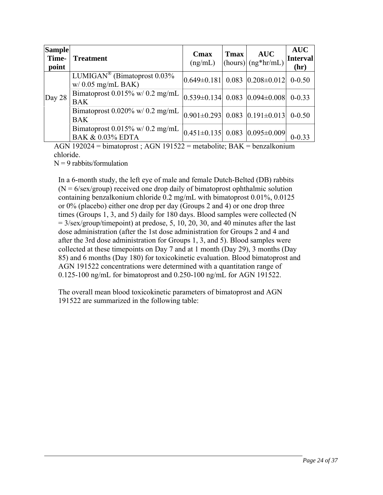| <b>Sample</b><br>Time-<br>point | <b>Treatment</b>                                                    | Cmax<br>(ng/mL)                                  | <b>T</b> max | <b>AUC</b><br>$\left  \frac{\text{(hours)}}{\text{(ng*hr/mL)}} \right $ | <b>AUC</b><br>Interval<br>(hr) |
|---------------------------------|---------------------------------------------------------------------|--------------------------------------------------|--------------|-------------------------------------------------------------------------|--------------------------------|
|                                 | LUMIGAN <sup>®</sup> (Bimatoprost $0.03\%$<br>$w/$ 0.05 mg/mL BAK)  | $ 0.649\pm0.181 $ 0.083 $ 0.208\pm0.012 $        |              |                                                                         | $0 - 0.50$                     |
| Day $28$                        | Bimatoprost $0.015\%$ w/ $0.2$ mg/mL<br><b>BAK</b>                  | $ 0.539\pm0.134 $ 0.083 $ 0.094\pm0.008 $        |              |                                                                         | $0 - 0.33$                     |
|                                 | Bimatoprost $0.020\%$ w/ $0.2$ mg/mL<br><b>BAK</b>                  | $ 0.901\pm0.293 $ 0.083 $ 0.191\pm0.013 $ 0-0.50 |              |                                                                         |                                |
|                                 | Bimatoprost $0.015\%$ w/ $0.2$ mg/mL<br><b>BAK &amp; 0.03% EDTA</b> | $ 0.451\pm0.135 $ 0.083 $ 0.095\pm0.009 $        |              |                                                                         |                                |

AGN 192024 = bimatoprost ; AGN 191522 = metabolite; BAK = benzalkonium chloride.

 $N = 9$  rabbits/formulation

In a 6-month study, the left eye of male and female Dutch-Belted (DB) rabbits  $(N = 6$ /sex/group) received one drop daily of bimatoprost ophthalmic solution containing benzalkonium chloride 0.2 mg/mL with bimatoprost 0.01%, 0.0125 or 0% (placebo) either one drop per day (Groups 2 and 4) or one drop three times (Groups 1, 3, and 5) daily for 180 days. Blood samples were collected (N  $= 3/\text{sex/group/timepoint}$  at predose, 5, 10, 20, 30, and 40 minutes after the last dose administration (after the 1st dose administration for Groups 2 and 4 and after the 3rd dose administration for Groups 1, 3, and 5). Blood samples were collected at these timepoints on Day 7 and at 1 month (Day 29), 3 months (Day 85) and 6 months (Day 180) for toxicokinetic evaluation. Blood bimatoprost and AGN 191522 concentrations were determined with a quantitation range of 0.125-100 ng/mL for bimatoprost and 0.250-100 ng/mL for AGN 191522.

The overall mean blood toxicokinetic parameters of bimatoprost and AGN 191522 are summarized in the following table: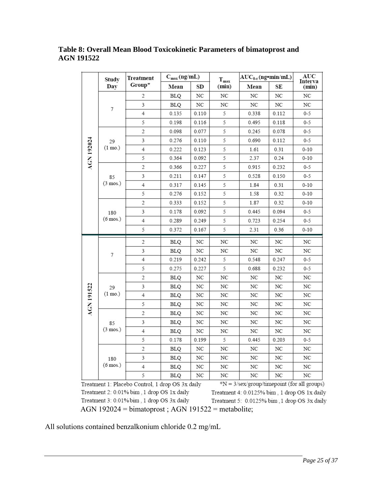# **Table 8: Overall Mean Blood Toxicokinetic Parameters of bimatoprost and AGN 191522**

|                   | Study              | Treatment<br>Group* | $C_{max}(ng/mL)$ |                  | $T_{max}$                                      | $AUC_{0-t}$ (ng · min/mL) |                  | AUC<br>Interva |
|-------------------|--------------------|---------------------|------------------|------------------|------------------------------------------------|---------------------------|------------------|----------------|
|                   | Day                |                     | Mean             | SD               | (min)                                          | Mean                      | SE               | (min)          |
|                   |                    | 2                   | <b>BLQ</b>       | NC               | NC                                             | NC                        | NC               | NC             |
|                   | 7                  | 3                   | <b>BLQ</b>       | NC               | NC                                             | NC                        | NC               | NC             |
|                   |                    | $\overline{4}$      | 0.135            | 0.110            | 5                                              | 0.338                     | 0.112            | $0 - 5$        |
|                   |                    | 5                   | 0.198            | 0.116            | 5                                              | 0.495                     | 0.118            | 0-5            |
|                   |                    | $\overline{c}$      | 0.098            | 0.077            | 5                                              | 0.245                     | 0.078            | $0 - 5$        |
|                   | 29                 | 3                   | 0.276            | 0.110            | 5                                              | 0.690                     | 0.112            | $0 - 5$        |
| <b>AGN 192024</b> | $(1 \text{ mo.})$  | 4                   | 0.222            | 0.123            | 5                                              | 1.61                      | 0.31             | $0 - 10$       |
|                   |                    | 5                   | 0.364            | 0.092            | 5                                              | 2.37                      | 0.24             | $0 - 10$       |
|                   |                    | $\overline{c}$      | 0.366            | 0.227            | 5                                              | 0.915                     | 0.232            | 0-5            |
|                   | 85                 | 3                   | 0.211            | 0.147            | 5                                              | 0.528                     | 0.150            | 0-5            |
|                   | $(3 \text{ mos.})$ | 4                   | 0.317            | 0.145            | 5                                              | 1.84                      | 0.31             | $0 - 10$       |
|                   |                    | 5                   | 0.276            | 0.152            | 5                                              | 1.58                      | 0.32             | $0 - 10$       |
|                   |                    | 2                   | 0.333            | 0.152            | 5                                              | 1.87                      | 0.32             | $0 - 10$       |
|                   | 180<br>(6 mos.)    | 3                   | 0.178            | 0.092            | 5                                              | 0.445                     | 0.094            | 0-5            |
|                   |                    | 4                   | 0.289            | 0.249            | 5                                              | 0.723                     | 0.254            | 0-5            |
|                   |                    | 5                   | 0.372            | 0.167            | 5                                              | 2.31                      | 0.36             | $0 - 10$       |
|                   |                    | 2                   | BLQ              | NC               | $_{\mathrm{NC}}$                               | NC                        | NC               | NC             |
|                   |                    | 3                   | <b>BLQ</b>       | NC               | NC                                             | NC                        | $_{\mathrm{NC}}$ | NC             |
|                   | 7                  | 4                   | 0.219            | 0.242            | 5                                              | 0.548                     | 0.247            | 0-5            |
|                   |                    | 5                   | 0.275            | 0.227            | 5                                              | 0.688                     | 0.232            | 0-5            |
|                   |                    | 2                   | BLQ              | NC               | $_{\mathrm{NC}}$                               | NC                        | NC               | NC             |
|                   | 29                 | 3                   | <b>BLQ</b>       | NC               | $_{\mathrm{NC}}$                               | $_{\mathrm{NC}}$          | NC               | NC             |
| <b>AGN 191522</b> | $(1 \text{ mo.})$  | 4                   | BLQ              | NC               | NC                                             | NC                        | NC               | NC             |
|                   |                    | 5                   | <b>BLQ</b>       | NC               | NC                                             | NC                        | NC               | NC             |
|                   |                    | 2                   | BLQ              | NC               | $_{\mathrm{NC}}$                               | NC                        | NC               | NC             |
|                   | 85                 | 3                   | BLQ              | NC               | NC                                             | NC                        | NC               | NC             |
|                   | (3 mos.)           | 4                   | BLQ              | NC               | NC                                             | NC                        | NC               | NC             |
|                   |                    | 5                   | 0.178            | 0.199            | 5                                              | 0.445                     | 0.203            | $0 - 5$        |
|                   |                    | 2                   | <b>BLQ</b>       | $_{\mathrm{NC}}$ | $_{\mathrm{NC}}$                               | $_{\mathrm{NC}}$          | NC               | NC             |
|                   | 180                | 3                   | BLQ              | NC               | $_{\mathrm{NC}}$                               | NC                        | NC               | NC             |
|                   | (6 mos.)           | $\overline{4}$      | <b>BLQ</b>       | NC               | $_{\mathrm{NC}}$                               | NC                        | NC               | NC             |
|                   |                    | 5                   | <b>BLQ</b>       | NC               | $_{\mathrm{NC}}$<br>$-25.7$<br>$\sim$ $\prime$ | NC<br>$\overline{14}$     | NC               | NC<br>11       |

Treatment 1: Placebo Control, 1 drop OS 3x daily Treatment 2: 0.01% bim, 1 drop OS 1x daily Treatment 3: 0.01% bim, 1 drop OS 3x daily AGN 192024 = bimatoprost ; AGN 191522 = metabolite;

 $N = 3$ /sex/group/timepoint (for all groups) Treatment 4: 0.0125% bim, 1 drop OS 1x daily Treatment 5: 0.0125% bim; 1 drop OS 3x daily

All solutions contained benzalkonium chloride 0.2 mg/mL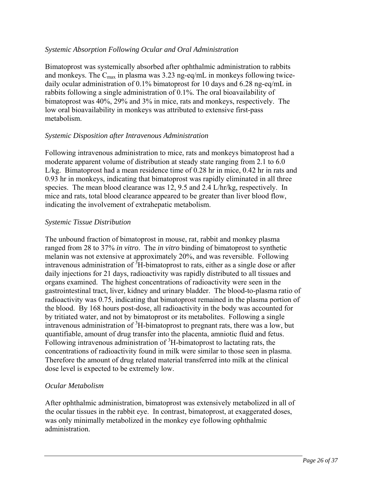# *Systemic Absorption Following Ocular and Oral Administration*

Bimatoprost was systemically absorbed after ophthalmic administration to rabbits and monkeys. The  $C_{\text{max}}$  in plasma was 3.23 ng-eq/mL in monkeys following twicedaily ocular administration of 0.1% bimatoprost for 10 days and 6.28 ng-eq/mL in rabbits following a single administration of 0.1%. The oral bioavailability of bimatoprost was 40%, 29% and 3% in mice, rats and monkeys, respectively. The low oral bioavailability in monkeys was attributed to extensive first-pass metabolism.

### *Systemic Disposition after Intravenous Administration*

Following intravenous administration to mice, rats and monkeys bimatoprost had a moderate apparent volume of distribution at steady state ranging from 2.1 to 6.0 L/kg. Bimatoprost had a mean residence time of 0.28 hr in mice, 0.42 hr in rats and 0.93 hr in monkeys, indicating that bimatoprost was rapidly eliminated in all three species. The mean blood clearance was 12, 9.5 and 2.4 L/hr/kg, respectively. In mice and rats, total blood clearance appeared to be greater than liver blood flow, indicating the involvement of extrahepatic metabolism.

#### *Systemic Tissue Distribution*

The unbound fraction of bimatoprost in mouse, rat, rabbit and monkey plasma ranged from 28 to 37% *in vitro*. The *in vitro* binding of bimatoprost to synthetic melanin was not extensive at approximately 20%, and was reversible. Following intravenous administration of  ${}^{3}H$ -bimatoprost to rats, either as a single dose or after daily injections for 21 days, radioactivity was rapidly distributed to all tissues and organs examined. The highest concentrations of radioactivity were seen in the gastrointestinal tract, liver, kidney and urinary bladder. The blood-to-plasma ratio of radioactivity was 0.75, indicating that bimatoprost remained in the plasma portion of the blood. By 168 hours post-dose, all radioactivity in the body was accounted for by tritiated water, and not by bimatoprost or its metabolites. Following a single intravenous administration of <sup>3</sup>H-bimatoprost to pregnant rats, there was a low, but quantifiable, amount of drug transfer into the placenta, amniotic fluid and fetus. Following intravenous administration of  ${}^{3}H$ -bimatoprost to lactating rats, the concentrations of radioactivity found in milk were similar to those seen in plasma. Therefore the amount of drug related material transferred into milk at the clinical dose level is expected to be extremely low.

#### *Ocular Metabolism*

After ophthalmic administration, bimatoprost was extensively metabolized in all of the ocular tissues in the rabbit eye. In contrast, bimatoprost, at exaggerated doses, was only minimally metabolized in the monkey eye following ophthalmic administration.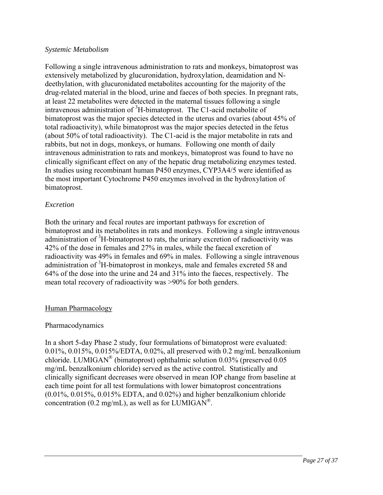### *Systemic Metabolism*

Following a single intravenous administration to rats and monkeys, bimatoprost was extensively metabolized by glucuronidation, hydroxylation, deamidation and Ndeethylation, with glucuronidated metabolites accounting for the majority of the drug-related material in the blood, urine and faeces of both species. In pregnant rats, at least 22 metabolites were detected in the maternal tissues following a single intravenous administration of <sup>3</sup>H-bimatoprost. The C1-acid metabolite of bimatoprost was the major species detected in the uterus and ovaries (about 45% of total radioactivity), while bimatoprost was the major species detected in the fetus (about 50% of total radioactivity). The C1-acid is the major metabolite in rats and rabbits, but not in dogs, monkeys, or humans. Following one month of daily intravenous administration to rats and monkeys, bimatoprost was found to have no clinically significant effect on any of the hepatic drug metabolizing enzymes tested. In studies using recombinant human P450 enzymes, CYP3A4/5 were identified as the most important Cytochrome P450 enzymes involved in the hydroxylation of bimatoprost.

# *Excretion*

Both the urinary and fecal routes are important pathways for excretion of bimatoprost and its metabolites in rats and monkeys. Following a single intravenous administration of  $3H$ -bimatoprost to rats, the urinary excretion of radioactivity was 42% of the dose in females and 27% in males, while the faecal excretion of radioactivity was 49% in females and 69% in males. Following a single intravenous administration of <sup>3</sup>H-bimatoprost in monkeys, male and females excreted 58 and 64% of the dose into the urine and 24 and 31% into the faeces, respectively. The mean total recovery of radioactivity was >90% for both genders.

#### Human Pharmacology

#### Pharmacodynamics

In a short 5-day Phase 2 study, four formulations of bimatoprost were evaluated: 0.01%, 0.015%, 0.015%/EDTA, 0.02%, all preserved with 0.2 mg/mL benzalkonium chloride. LUMIGAN® (bimatoprost) ophthalmic solution 0.03% (preserved 0.05 mg/mL benzalkonium chloride) served as the active control. Statistically and clinically significant decreases were observed in mean IOP change from baseline at each time point for all test formulations with lower bimatoprost concentrations (0.01%, 0.015%, 0.015% EDTA, and 0.02%) and higher benzalkonium chloride concentration (0.2 mg/mL), as well as for LUMIGAN<sup>®</sup>.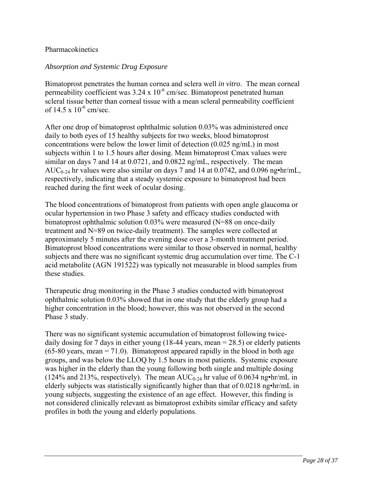### Pharmacokinetics

### *Absorption and Systemic Drug Exposure*

Bimatoprost penetrates the human cornea and sclera well *in vitro*. The mean corneal permeability coefficient was  $3.24 \times 10^{-6}$  cm/sec. Bimatoprost penetrated human scleral tissue better than corneal tissue with a mean scleral permeability coefficient of  $14.5 \times 10^{-6}$  cm/sec.

After one drop of bimatoprost ophthalmic solution 0.03% was administered once daily to both eyes of 15 healthy subjects for two weeks, blood bimatoprost concentrations were below the lower limit of detection (0.025 ng/mL) in most subjects within 1 to 1.5 hours after dosing. Mean bimatoprost Cmax values were similar on days 7 and 14 at 0.0721, and 0.0822 ng/mL, respectively. The mean AUC<sub>0-24</sub> hr values were also similar on days 7 and 14 at 0.0742, and 0.096 ng•hr/mL, respectively, indicating that a steady systemic exposure to bimatoprost had been reached during the first week of ocular dosing.

The blood concentrations of bimatoprost from patients with open angle glaucoma or ocular hypertension in two Phase 3 safety and efficacy studies conducted with bimatoprost ophthalmic solution 0.03% were measured (N=88 on once-daily treatment and N=89 on twice-daily treatment). The samples were collected at approximately 5 minutes after the evening dose over a 3-month treatment period. Bimatoprost blood concentrations were similar to those observed in normal, healthy subjects and there was no significant systemic drug accumulation over time. The C-1 acid metabolite (AGN 191522) was typically not measurable in blood samples from these studies.

Therapeutic drug monitoring in the Phase 3 studies conducted with bimatoprost ophthalmic solution 0.03% showed that in one study that the elderly group had a higher concentration in the blood; however, this was not observed in the second Phase 3 study.

There was no significant systemic accumulation of bimatoprost following twicedaily dosing for 7 days in either young (18-44 years, mean = 28.5) or elderly patients  $(65-80 \text{ years}, \text{mean} = 71.0)$ . Bimatoprost appeared rapidly in the blood in both age groups, and was below the LLOQ by 1.5 hours in most patients. Systemic exposure was higher in the elderly than the young following both single and multiple dosing (124% and 213%, respectively). The mean  $AUC_{0.24}$  hr value of 0.0634 ng•hr/mL in elderly subjects was statistically significantly higher than that of 0.0218 ng•hr/mL in young subjects, suggesting the existence of an age effect. However, this finding is not considered clinically relevant as bimatoprost exhibits similar efficacy and safety profiles in both the young and elderly populations.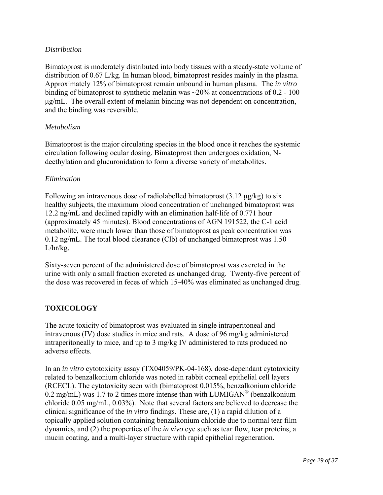# *Distribution*

Bimatoprost is moderately distributed into body tissues with a steady-state volume of distribution of 0.67 L/kg. In human blood, bimatoprost resides mainly in the plasma. Approximately 12% of bimatoprost remain unbound in human plasma. The *in vitro* binding of bimatoprost to synthetic melanin was ~20% at concentrations of 0.2 - 100 μg/mL. The overall extent of melanin binding was not dependent on concentration, and the binding was reversible.

# *Metabolism*

Bimatoprost is the major circulating species in the blood once it reaches the systemic circulation following ocular dosing. Bimatoprost then undergoes oxidation, Ndeethylation and glucuronidation to form a diverse variety of metabolites.

### *Elimination*

Following an intravenous dose of radiolabelled bimatoprost  $(3.12 \mu g/kg)$  to six healthy subjects, the maximum blood concentration of unchanged bimatoprost was 12.2 ng/mL and declined rapidly with an elimination half-life of 0.771 hour (approximately 45 minutes). Blood concentrations of AGN 191522, the C-1 acid metabolite, were much lower than those of bimatoprost as peak concentration was 0.12 ng/mL. The total blood clearance (Clb) of unchanged bimatoprost was 1.50  $L/hr/kg$ .

Sixty-seven percent of the administered dose of bimatoprost was excreted in the urine with only a small fraction excreted as unchanged drug. Twenty-five percent of the dose was recovered in feces of which 15-40% was eliminated as unchanged drug.

# **TOXICOLOGY**

The acute toxicity of bimatoprost was evaluated in single intraperitoneal and intravenous (IV) dose studies in mice and rats. A dose of 96 mg/kg administered intraperitoneally to mice, and up to 3 mg/kg IV administered to rats produced no adverse effects.

In an *in vitro* cytotoxicity assay (TX04059/PK-04-168), dose-dependant cytotoxicity related to benzalkonium chloride was noted in rabbit corneal epithelial cell layers (RCECL). The cytotoxicity seen with (bimatoprost 0.015%, benzalkonium chloride 0.2 mg/mL) was 1.7 to 2 times more intense than with LUMIGAN<sup>®</sup> (benzalkonium chloride 0.05 mg/mL, 0.03%). Note that several factors are believed to decrease the clinical significance of the *in vitro* findings. These are, (1) a rapid dilution of a topically applied solution containing benzalkonium chloride due to normal tear film dynamics, and (2) the properties of the *in vivo* eye such as tear flow, tear proteins, a mucin coating, and a multi-layer structure with rapid epithelial regeneration.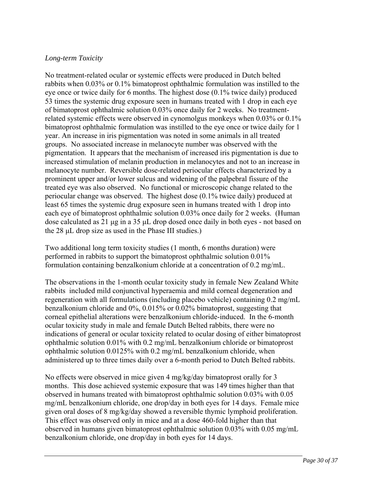# *Long-term Toxicity*

No treatment-related ocular or systemic effects were produced in Dutch belted rabbits when 0.03% or 0.1% bimatoprost ophthalmic formulation was instilled to the eye once or twice daily for 6 months. The highest dose (0.1% twice daily) produced 53 times the systemic drug exposure seen in humans treated with 1 drop in each eye of bimatoprost ophthalmic solution 0.03% once daily for 2 weeks. No treatmentrelated systemic effects were observed in cynomolgus monkeys when 0.03% or 0.1% bimatoprost ophthalmic formulation was instilled to the eye once or twice daily for 1 year. An increase in iris pigmentation was noted in some animals in all treated groups. No associated increase in melanocyte number was observed with the pigmentation. It appears that the mechanism of increased iris pigmentation is due to increased stimulation of melanin production in melanocytes and not to an increase in melanocyte number. Reversible dose-related periocular effects characterized by a prominent upper and/or lower sulcus and widening of the palpebral fissure of the treated eye was also observed. No functional or microscopic change related to the periocular change was observed. The highest dose (0.1% twice daily) produced at least 65 times the systemic drug exposure seen in humans treated with 1 drop into each eye of bimatoprost ophthalmic solution 0.03% once daily for 2 weeks. (Human dose calculated as 21 μg in a 35 μL drop dosed once daily in both eyes - not based on the 28 μL drop size as used in the Phase III studies.)

Two additional long term toxicity studies (1 month, 6 months duration) were performed in rabbits to support the bimatoprost ophthalmic solution 0.01% formulation containing benzalkonium chloride at a concentration of 0.2 mg/mL.

The observations in the 1-month ocular toxicity study in female New Zealand White rabbits included mild conjunctival hyperaemia and mild corneal degeneration and regeneration with all formulations (including placebo vehicle) containing 0.2 mg/mL benzalkonium chloride and 0%, 0.015% or 0.02% bimatoprost, suggesting that corneal epithelial alterations were benzalkonium chloride-induced. In the 6-month ocular toxicity study in male and female Dutch Belted rabbits, there were no indications of general or ocular toxicity related to ocular dosing of either bimatoprost ophthalmic solution 0.01% with 0.2 mg/mL benzalkonium chloride or bimatoprost ophthalmic solution 0.0125% with 0.2 mg/mL benzalkonium chloride, when administered up to three times daily over a 6-month period to Dutch Belted rabbits.

No effects were observed in mice given 4 mg/kg/day bimatoprost orally for 3 months. This dose achieved systemic exposure that was 149 times higher than that observed in humans treated with bimatoprost ophthalmic solution 0.03% with 0.05 mg/mL benzalkonium chloride, one drop/day in both eyes for 14 days. Female mice given oral doses of 8 mg/kg/day showed a reversible thymic lymphoid proliferation. This effect was observed only in mice and at a dose 460-fold higher than that observed in humans given bimatoprost ophthalmic solution 0.03% with 0.05 mg/mL benzalkonium chloride, one drop/day in both eyes for 14 days.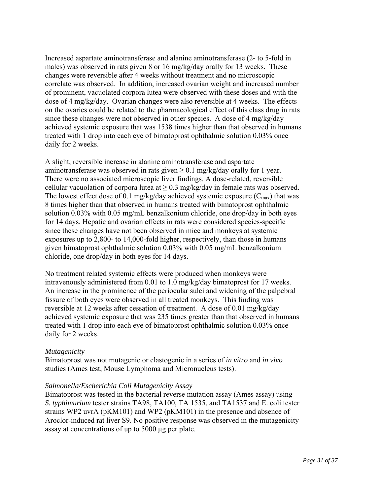Increased aspartate aminotransferase and alanine aminotransferase (2- to 5-fold in males) was observed in rats given 8 or 16 mg/kg/day orally for 13 weeks. These changes were reversible after 4 weeks without treatment and no microscopic correlate was observed. In addition, increased ovarian weight and increased number of prominent, vacuolated corpora lutea were observed with these doses and with the dose of 4 mg/kg/day. Ovarian changes were also reversible at 4 weeks. The effects on the ovaries could be related to the pharmacological effect of this class drug in rats since these changes were not observed in other species. A dose of 4 mg/kg/day achieved systemic exposure that was 1538 times higher than that observed in humans treated with 1 drop into each eye of bimatoprost ophthalmic solution 0.03% once daily for 2 weeks.

A slight, reversible increase in alanine aminotransferase and aspartate aminotransferase was observed in rats given  $\geq 0.1$  mg/kg/day orally for 1 year. There were no associated microscopic liver findings. A dose-related, reversible cellular vacuolation of corpora lutea at  $\geq 0.3$  mg/kg/day in female rats was observed. The lowest effect dose of 0.1 mg/kg/day achieved systemic exposure  $(C_{\text{max}})$  that was 8 times higher than that observed in humans treated with bimatoprost ophthalmic solution 0.03% with 0.05 mg/mL benzalkonium chloride, one drop/day in both eyes for 14 days. Hepatic and ovarian effects in rats were considered species-specific since these changes have not been observed in mice and monkeys at systemic exposures up to 2,800- to 14,000-fold higher, respectively, than those in humans given bimatoprost ophthalmic solution 0.03% with 0.05 mg/mL benzalkonium chloride, one drop/day in both eyes for 14 days.

No treatment related systemic effects were produced when monkeys were intravenously administered from 0.01 to 1.0 mg/kg/day bimatoprost for 17 weeks. An increase in the prominence of the periocular sulci and widening of the palpebral fissure of both eyes were observed in all treated monkeys. This finding was reversible at 12 weeks after cessation of treatment. A dose of 0.01 mg/kg/day achieved systemic exposure that was 235 times greater than that observed in humans treated with 1 drop into each eye of bimatoprost ophthalmic solution 0.03% once daily for 2 weeks.

# *Mutagenicity*

Bimatoprost was not mutagenic or clastogenic in a series of *in vitro* and *in vivo* studies (Ames test, Mouse Lymphoma and Micronucleus tests).

# *Salmonella/Escherichia Coli Mutagenicity Assay*

Bimatoprost was tested in the bacterial reverse mutation assay (Ames assay) using *S. typhimurium* tester strains TA98, TA100, TA 1535, and TA1537 and E. coli tester strains WP2 uvrA (pKM101) and WP2 (pKM101) in the presence and absence of Aroclor-induced rat liver S9. No positive response was observed in the mutagenicity assay at concentrations of up to 5000 μg per plate.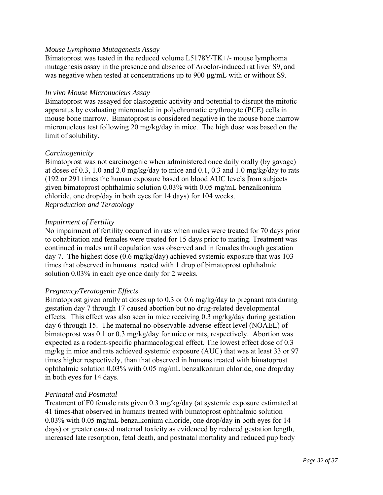### *Mouse Lymphoma Mutagenesis Assay*

Bimatoprost was tested in the reduced volume L5178Y/TK+/- mouse lymphoma mutagenesis assay in the presence and absence of Aroclor-induced rat liver S9, and was negative when tested at concentrations up to 900 μg/mL with or without S9.

#### *In vivo Mouse Micronucleus Assay*

Bimatoprost was assayed for clastogenic activity and potential to disrupt the mitotic apparatus by evaluating micronuclei in polychromatic erythrocyte (PCE) cells in mouse bone marrow. Bimatoprost is considered negative in the mouse bone marrow micronucleus test following 20 mg/kg/day in mice. The high dose was based on the limit of solubility.

### *Carcinogenicity*

Bimatoprost was not carcinogenic when administered once daily orally (by gavage) at doses of 0.3, 1.0 and 2.0 mg/kg/day to mice and 0.1, 0.3 and 1.0 mg/kg/day to rats (192 or 291 times the human exposure based on blood AUC levels from subjects given bimatoprost ophthalmic solution 0.03% with 0.05 mg/mL benzalkonium chloride, one drop/day in both eyes for 14 days) for 104 weeks. *Reproduction and Teratology* 

### *Impairment of Fertility*

No impairment of fertility occurred in rats when males were treated for 70 days prior to cohabitation and females were treated for 15 days prior to mating. Treatment was continued in males until copulation was observed and in females through gestation day 7. The highest dose (0.6 mg/kg/day) achieved systemic exposure that was 103 times that observed in humans treated with 1 drop of bimatoprost ophthalmic solution 0.03% in each eye once daily for 2 weeks.

#### *Pregnancy/Teratogenic Effects*

Bimatoprost given orally at doses up to 0.3 or 0.6 mg/kg/day to pregnant rats during gestation day 7 through 17 caused abortion but no drug-related developmental effects. This effect was also seen in mice receiving 0.3 mg/kg/day during gestation day 6 through 15. The maternal no-observable-adverse-effect level (NOAEL) of bimatoprost was 0.1 or 0.3 mg/kg/day for mice or rats, respectively. Abortion was expected as a rodent-specific pharmacological effect. The lowest effect dose of 0.3 mg/kg in mice and rats achieved systemic exposure (AUC) that was at least 33 or 97 times higher respectively, than that observed in humans treated with bimatoprost ophthalmic solution 0.03% with 0.05 mg/mL benzalkonium chloride, one drop/day in both eyes for 14 days.

#### *Perinatal and Postnatal*

Treatment of F0 female rats given 0.3 mg/kg/day (at systemic exposure estimated at 41 times that observed in humans treated with bimatoprost ophthalmic solution 0.03% with 0.05 mg/mL benzalkonium chloride, one drop/day in both eyes for 14 days) or greater caused maternal toxicity as evidenced by reduced gestation length, increased late resorption, fetal death, and postnatal mortality and reduced pup body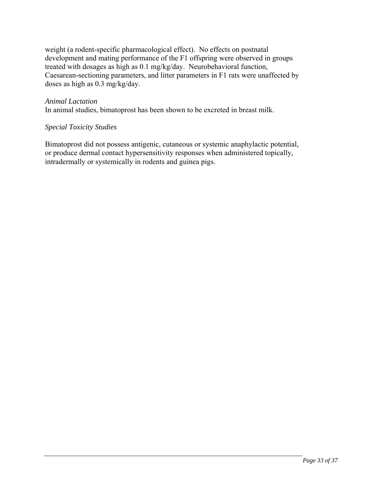weight (a rodent-specific pharmacological effect). No effects on postnatal development and mating performance of the F1 offspring were observed in groups treated with dosages as high as 0.1 mg/kg/day. Neurobehavioral function, Caesarean-sectioning parameters, and litter parameters in F1 rats were unaffected by doses as high as 0.3 mg/kg/day.

#### *Animal Lactation*

In animal studies, bimatoprost has been shown to be excreted in breast milk.

#### *Special Toxicity Studies*

Bimatoprost did not possess antigenic, cutaneous or systemic anaphylactic potential, or produce dermal contact hypersensitivity responses when administered topically, intradermally or systemically in rodents and guinea pigs.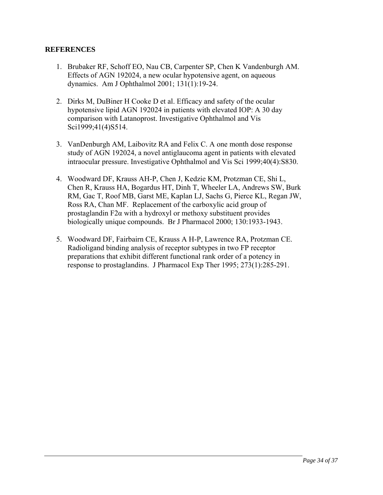### **REFERENCES**

- 1. Brubaker RF, Schoff EO, Nau CB, Carpenter SP, Chen K Vandenburgh AM. Effects of AGN 192024, a new ocular hypotensive agent, on aqueous dynamics. Am J Ophthalmol 2001; 131(1):19-24.
- 2. Dirks M, DuBiner H Cooke D et al. Efficacy and safety of the ocular hypotensive lipid AGN 192024 in patients with elevated IOP: A 30 day comparison with Latanoprost. Investigative Ophthalmol and Vis Sci1999;41(4)S514.
- 3. VanDenburgh AM, Laibovitz RA and Felix C. A one month dose response study of AGN 192024, a novel antiglaucoma agent in patients with elevated intraocular pressure. Investigative Ophthalmol and Vis Sci 1999;40(4):S830.
- 4. Woodward DF, Krauss AH-P, Chen J, Kedzie KM, Protzman CE, Shi L, Chen R, Krauss HA, Bogardus HT, Dinh T, Wheeler LA, Andrews SW, Burk RM, Gac T, Roof MB, Garst ME, Kaplan LJ, Sachs G, Pierce KL, Regan JW, Ross RA, Chan MF. Replacement of the carboxylic acid group of prostaglandin F2α with a hydroxyl or methoxy substituent provides biologically unique compounds. Br J Pharmacol 2000; 130:1933-1943.
- 5. Woodward DF, Fairbairn CE, Krauss A H-P, Lawrence RA, Protzman CE. Radioligand binding analysis of receptor subtypes in two FP receptor preparations that exhibit different functional rank order of a potency in response to prostaglandins. J Pharmacol Exp Ther 1995; 273(1):285-291.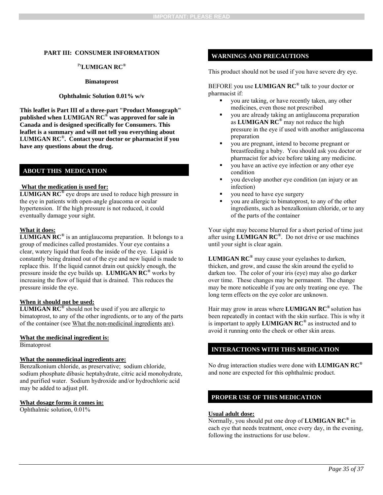#### **PART III: CONSUMER INFORMATION**

#### Pr**LUMIGAN RC®**

#### **Bimatoprost**

#### **Ophthalmic Solution 0.01% w/v**

**This leaflet is Part III of a three-part "Product Monograph" published when LUMIGAN RC® was approved for sale in Canada and is designed specifically for Consumers. This leaflet is a summary and will not tell you everything about LUMIGAN RC®. Contact your doctor or pharmacist if you have any questions about the drug.** 

#### **ABOUT THIS MEDICATION**

#### **What the medication is used for:**

**LUMIGAN RC<sup>®</sup>** eye drops are used to reduce high pressure in the eye in patients with open-angle glaucoma or ocular hypertension. If the high pressure is not reduced, it could eventually damage your sight.

#### **What it does:**

**LUMIGAN RC®** is an antiglaucoma preparation. It belongs to a group of medicines called prostamides. Your eye contains a clear, watery liquid that feeds the inside of the eye. Liquid is constantly being drained out of the eye and new liquid is made to replace this. If the liquid cannot drain out quickly enough, the pressure inside the eye builds up. **LUMIGAN RC®** works by increasing the flow of liquid that is drained. This reduces the pressure inside the eye.

#### **When it should not be used:**

**LUMIGAN RC®** should not be used if you are allergic to bimatoprost, to any of the other ingredients, or to any of the parts of the container (see What the non-medicinal ingredients are).

#### **What the medicinal ingredient is:**

Bimatoprost

#### **What the nonmedicinal ingredients are:**

Benzalkonium chloride, as preservative; sodium chloride, sodium phosphate dibasic heptahydrate, citric acid monohydrate, and purified water. Sodium hydroxide and/or hydrochloric acid may be added to adjust pH.

#### **What dosage forms it comes in:**

Ophthalmic solution, 0.01%

#### **WARNINGS AND PRECAUTIONS**

This product should not be used if you have severe dry eye.

BEFORE you use **LUMIGAN RC®** talk to your doctor or pharmacist if:

- you are taking, or have recently taken, any other medicines, even those not prescribed
- you are already taking an antiglaucoma preparation as **LUMIGAN RC®** may not reduce the high pressure in the eye if used with another antiglaucoma preparation
- you are pregnant, intend to become pregnant or breastfeeding a baby. You should ask you doctor or pharmacist for advice before taking any medicine.
- you have an active eye infection or any other eye condition
- you develop another eye condition (an injury or an infection)
- you need to have eye surgery
- you are allergic to bimatoprost, to any of the other ingredients, such as benzalkonium chloride, or to any of the parts of the container

Your sight may become blurred for a short period of time just after using **LUMIGAN RC®**. Do not drive or use machines until your sight is clear again.

**LUMIGAN RC®** may cause your eyelashes to darken, thicken, and grow, and cause the skin around the eyelid to darken too. The color of your iris (eye) may also go darker over time. These changes may be permanent. The change may be more noticeable if you are only treating one eye. The long term effects on the eye color are unknown.

Hair may grow in areas where **LUMIGAN RC®** solution has been repeatedly in contact with the skin surface. This is why it is important to apply **LUMIGAN RC®** as instructed and to avoid it running onto the cheek or other skin areas.

#### **INTERACTIONS WITH THIS MEDICATION**

No drug interaction studies were done with **LUMIGAN RC®** and none are expected for this ophthalmic product.

#### **PROPER USE OF THIS MEDICATION**

#### **Usual adult dose:**

Normally, you should put one drop of **LUMIGAN RC®** in each eye that needs treatment, once every day, in the evening, following the instructions for use below.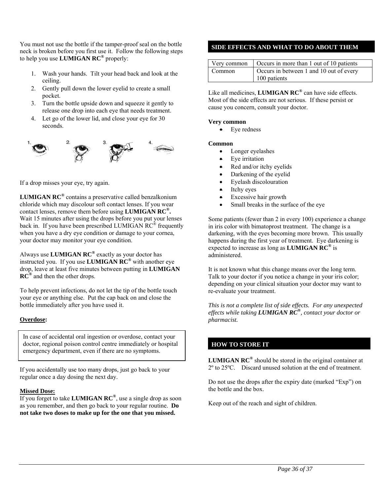You must not use the bottle if the tamper-proof seal on the bottle neck is broken before you first use it. Follow the following steps to help you use **LUMIGAN RC®** properly:

- 1. Wash your hands. Tilt your head back and look at the ceiling.
- 2. Gently pull down the lower eyelid to create a small pocket.
- 3. Turn the bottle upside down and squeeze it gently to release one drop into each eye that needs treatment.
- 4. Let go of the lower lid, and close your eye for 30 seconds.



If a drop misses your eye, try again.

**LUMIGAN RC®** contains a preservative called benzalkonium chloride which may discolour soft contact lenses. If you wear contact lenses, remove them before using **LUMIGAN RC®.**  Wait 15 minutes after using the drops before you put your lenses back in. If you have been prescribed LUMIGAN RC<sup>®</sup> frequently when you have a dry eye condition or damage to your cornea, your doctor may monitor your eye condition.

Always use **LUMIGAN RC®** exactly as your doctor has instructed you. If you use **LUMIGAN RC®** with another eye drop, leave at least five minutes between putting in **LUMIGAN RC®** and then the other drops.

To help prevent infections, do not let the tip of the bottle touch your eye or anything else. Put the cap back on and close the bottle immediately after you have used it.

#### **Overdose:**

In case of accidental oral ingestion or overdose, contact your doctor, regional poison control centre immediately or hospital emergency department, even if there are no symptoms.

If you accidentally use too many drops, just go back to your regular once a day dosing the next day.

#### **Missed Dose:**

If you forget to take **LUMIGAN RC®**, use a single drop as soon as you remember, and then go back to your regular routine. **Do not take two doses to make up for the one that you missed.** 

#### **SIDE EFFECTS AND WHAT TO DO ABOUT THEM**

|        | Very common $\int$ Occurs in more than 1 out of 10 patients |
|--------|-------------------------------------------------------------|
| Common | Occurs in between 1 and 10 out of every                     |
|        | 100 patients                                                |

Like all medicines, **LUMIGAN RC®** can have side effects. Most of the side effects are not serious. If these persist or cause you concern, consult your doctor.

#### **Very common**

• Eye redness

#### **Common**

- Longer eyelashes
- Eye irritation
- Red and/or itchy eyelids
- Darkening of the eyelid
- Eyelash discolouration
- Itchy eyes
- Excessive hair growth
- Small breaks in the surface of the eye

Some patients (fewer than 2 in every 100) experience a change in iris color with bimatoprost treatment. The change is a darkening, with the eyes becoming more brown. This usually happens during the first year of treatment. Eye darkening is expected to increase as long as **LUMIGAN RC®** is administered.

It is not known what this change means over the long term. Talk to your doctor if you notice a change in your iris color; depending on your clinical situation your doctor may want to re-evaluate your treatment.

*This is not a complete list of side effects. For any unexpected effects while taking LUMIGAN RC®, contact your doctor or pharmacist.* 

#### **HOW TO STORE IT**

**LUMIGAN RC®** should be stored in the original container at 2º to 25ºC. Discard unused solution at the end of treatment.

Do not use the drops after the expiry date (marked "Exp") on the bottle and the box.

Keep out of the reach and sight of children.